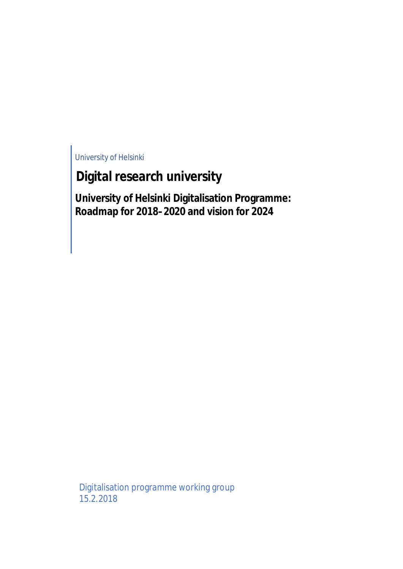University of Helsinki

# **Digital research university**

**University of Helsinki Digitalisation Programme: Roadmap for 2018–2020 and vision for 2024**

Digitalisation programme working group 15.2.2018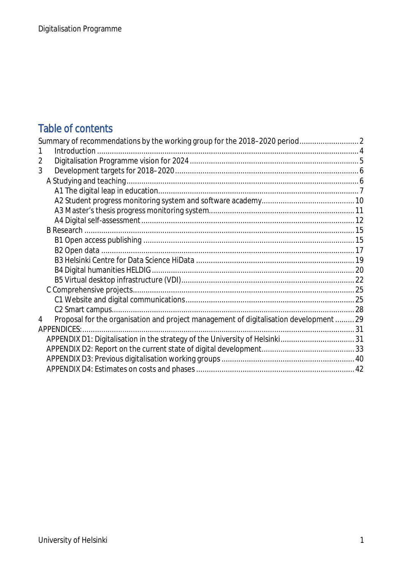## Table of contents

| 1                                                                                           |  |
|---------------------------------------------------------------------------------------------|--|
| 2                                                                                           |  |
| 3                                                                                           |  |
|                                                                                             |  |
|                                                                                             |  |
|                                                                                             |  |
|                                                                                             |  |
|                                                                                             |  |
|                                                                                             |  |
|                                                                                             |  |
|                                                                                             |  |
|                                                                                             |  |
|                                                                                             |  |
|                                                                                             |  |
|                                                                                             |  |
|                                                                                             |  |
|                                                                                             |  |
| Proposal for the organisation and project management of digitalisation development  29<br>4 |  |
|                                                                                             |  |
|                                                                                             |  |
|                                                                                             |  |
|                                                                                             |  |
|                                                                                             |  |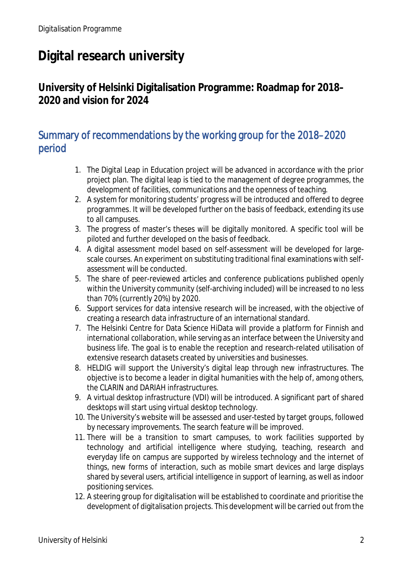# **Digital research university**

## **University of Helsinki Digitalisation Programme: Roadmap for 2018– 2020 and vision for 2024**

## Summary of recommendations by the working group for the 2018–2020 period

- 1. The Digital Leap in Education project will be advanced in accordance with the prior project plan. The digital leap is tied to the management of degree programmes, the development of facilities, communications and the openness of teaching.
- 2. A system for monitoring students' progress will be introduced and offered to degree programmes. It will be developed further on the basis of feedback, extending its use to all campuses.
- 3. The progress of master's theses will be digitally monitored. A specific tool will be piloted and further developed on the basis of feedback.
- 4. A digital assessment model based on self-assessment will be developed for largescale courses. An experiment on substituting traditional final examinations with selfassessment will be conducted.
- 5. The share of peer-reviewed articles and conference publications published openly within the University community (self-archiving included) will be increased to no less than 70% (currently 20%) by 2020.
- 6. Support services for data intensive research will be increased, with the objective of creating a research data infrastructure of an international standard.
- 7. The Helsinki Centre for Data Science HiData will provide a platform for Finnish and international collaboration, while serving as an interface between the University and business life. The goal is to enable the reception and research-related utilisation of extensive research datasets created by universities and businesses.
- 8. HELDIG will support the University's digital leap through new infrastructures. The objective is to become a leader in digital humanities with the help of, among others, the CLARIN and DARIAH infrastructures.
- 9. A virtual desktop infrastructure (VDI) will be introduced. A significant part of shared desktops will start using virtual desktop technology.
- 10. The University's website will be assessed and user-tested by target groups, followed by necessary improvements. The search feature will be improved.
- 11. There will be a transition to smart campuses, to work facilities supported by technology and artificial intelligence where studying, teaching, research and everyday life on campus are supported by wireless technology and the internet of things, new forms of interaction, such as mobile smart devices and large displays shared by several users, artificial intelligence in support of learning, as well as indoor positioning services.
- 12. A steering group for digitalisation will be established to coordinate and prioritise the development of digitalisation projects. This development will be carried out from the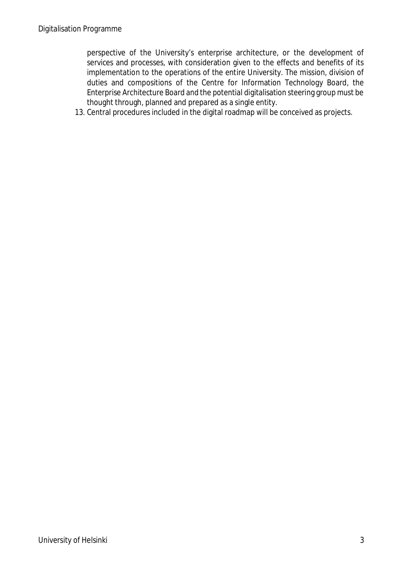perspective of the University's enterprise architecture, or the development of services and processes, with consideration given to the effects and benefits of its implementation to the operations of the entire University. The mission, division of duties and compositions of the Centre for Information Technology Board, the Enterprise Architecture Board and the potential digitalisation steering group must be thought through, planned and prepared as a single entity.

13. Central procedures included in the digital roadmap will be conceived as projects.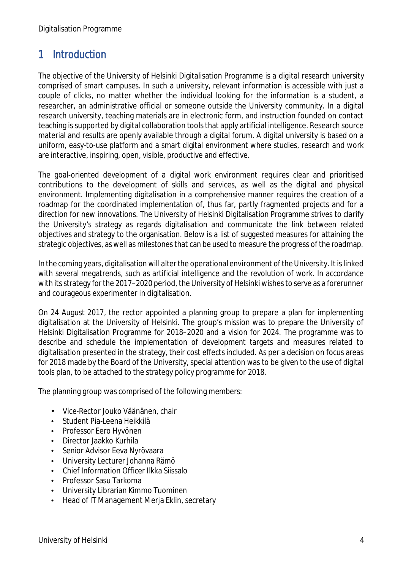## 1 Introduction

The objective of the University of Helsinki Digitalisation Programme is a *digital research university comprised of smart campuses*. In such a university, relevant information is accessible with just a couple of clicks, no matter whether the individual looking for the information is a student, a researcher, an administrative official or someone outside the University community. In a digital research university, teaching materials are in electronic form, and instruction founded on contact teaching is supported by digital collaboration tools that apply artificial intelligence. Research source material and results are openly available through a digital forum. A digital university is based on a uniform, easy-to-use platform and a smart digital environment where studies, research and work are interactive, inspiring, open, visible, productive and effective.

The goal-oriented development of a digital work environment requires clear and prioritised contributions to the development of skills and services, as well as the digital and physical environment. Implementing digitalisation in a comprehensive manner requires the creation of a roadmap for the coordinated implementation of, thus far, partly fragmented projects and for a direction for new innovations. The University of Helsinki Digitalisation Programme strives to clarify the University's strategy as regards digitalisation and communicate the link between related objectives and strategy to the organisation. Below is a list of suggested measures for attaining the strategic objectives, as well as milestones that can be used to measure the progress of the roadmap.

In the coming years, digitalisation will alter the operational environment of the University. It is linked with several megatrends, such as artificial intelligence and the revolution of work. In accordance with its strategy for the 2017–2020 period, the University of Helsinki wishes to serve as a forerunner and courageous experimenter in digitalisation.

On 24 August 2017, the rector appointed a planning group to prepare a plan for implementing digitalisation at the University of Helsinki. The group's mission was to prepare the University of Helsinki Digitalisation Programme for 2018–2020 and a vision for 2024. The programme was to describe and schedule the implementation of development targets and measures related to digitalisation presented in the strategy, their cost effects included. As per a decision on focus areas for 2018 made by the Board of the University, special attention was to be given to the use of digital tools plan, to be attached to the strategy policy programme for 2018.

The planning group was comprised of the following members:

- t, Vice-Rector Jouko Väänänen, chair
- Student Pia-Leena Heikkilä t,
- Professor Eero Hyvönen
- Director Jaakko Kurhila  $\mathbf{r}$
- Senior Advisor Eeva Nyrövaara
- University Lecturer Johanna Rämö
- Chief Information Officer Ilkka Siissalo
- Professor Sasu Tarkoma  $\overline{a}$
- University Librarian Kimmo Tuominen  $\mathbf{r}$
- Head of IT Management Merja Eklin, secretary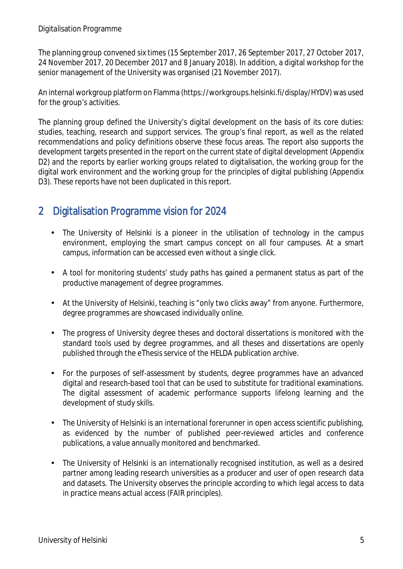The planning group convened six times (15 September 2017, 26 September 2017, 27 October 2017, 24 November 2017, 20 December 2017 and 8 January 2018). In addition, a digital workshop for the senior management of the University was organised (21 November 2017).

An internal workgroup platform on Flamma (https://workgroups.helsinki.fi/display/HYDV) was used for the group's activities.

The planning group defined the University's digital development on the basis of its core duties: studies, teaching, research and support services. The group's final report, as well as the related recommendations and policy definitions observe these focus areas. The report also supports the development targets presented in the report on the current state of digital development (Appendix D2) and the reports by earlier working groups related to digitalisation, the working group for the digital work environment and the working group for the principles of digital publishing (Appendix D3). These reports have not been duplicated in this report.

## 2 Digitalisation Programme vision for 2024

- $\mathcal{L}^{\text{max}}$ The University of Helsinki is a pioneer in the utilisation of technology in the campus environment, employing the smart campus concept on all four campuses. At a smart campus, information can be accessed even without a single click.
- A tool for monitoring students' study paths has gained a permanent status as part of the productive management of degree programmes.
- At the University of Helsinki, teaching is "only two clicks away" from anyone. Furthermore, degree programmes are showcased individually online.
- The progress of University degree theses and doctoral dissertations is monitored with the standard tools used by degree programmes, and all theses and dissertations are openly published through the eThesis service of the HELDA publication archive.
- For the purposes of self-assessment by students, degree programmes have an advanced  $\mathbf{r}$ digital and research-based tool that can be used to substitute for traditional examinations. The digital assessment of academic performance supports lifelong learning and the development of study skills.
- The University of Helsinki is an international forerunner in open access scientific publishing,  $\hat{\mathbf{r}}$ as evidenced by the number of published peer-reviewed articles and conference publications, a value annually monitored and benchmarked.
- The University of Helsinki is an internationally recognised institution, as well as a desired ÷, partner among leading research universities as a producer and user of open research data and datasets. The University observes the principle according to which legal access to data in practice means actual access (FAIR principles).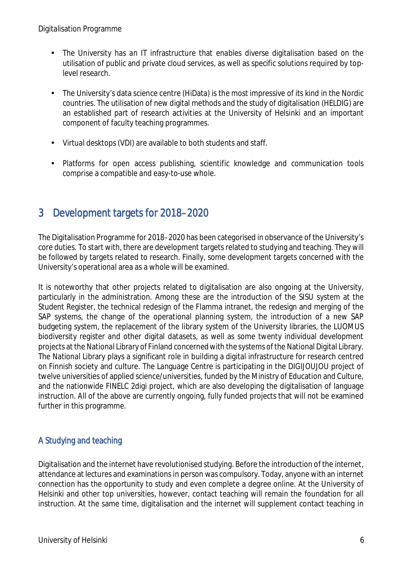- The University has an IT infrastructure that enables diverse digitalisation based on the utilisation of public and private cloud services, as well as specific solutions required by toplevel research.
- The University's data science centre (HiData) is the most impressive of its kind in the Nordic countries. The utilisation of new digital methods and the study of digitalisation (HELDIG) are an established part of research activities at the University of Helsinki and an important component of faculty teaching programmes.
- Virtual desktops (VDI) are available to both students and staff.  $\Box$
- Platforms for open access publishing, scientific knowledge and communication tools  $\mathbf{r}$ comprise a compatible and easy-to-use whole.

## 3 Development targets for 2018–2020

The Digitalisation Programme for 2018–2020 has been categorised in observance of the University's core duties. To start with, there are development targets related to studying and teaching. They will be followed by targets related to research. Finally, some development targets concerned with the University's operational area as a whole will be examined.

It is noteworthy that other projects related to digitalisation are also ongoing at the University, particularly in the administration. Among these are the introduction of the SISU system at the Student Register, the technical redesign of the Flamma intranet, the redesign and merging of the SAP systems, the change of the operational planning system, the introduction of a new SAP budgeting system, the replacement of the library system of the University libraries, the LUOMUS biodiversity register and other digital datasets, as well as some twenty individual development projects at the National Library of Finland concerned with the systems of the National Digital Library. The National Library plays a significant role in building a digital infrastructure for research centred on Finnish society and culture. The Language Centre is participating in the DIGIJOUJOU project of twelve universities of applied science/universities, funded by the Ministry of Education and Culture, and the nationwide FINELC 2digi project, which are also developing the digitalisation of language instruction. All of the above are currently ongoing, fully funded projects that will not be examined further in this programme.

## A Studying and teaching

Digitalisation and the internet have revolutionised studying. Before the introduction of the internet, attendance at lectures and examinations in person was compulsory. Today, anyone with an internet connection has the opportunity to study and even complete a degree online. At the University of Helsinki and other top universities, however, contact teaching will remain the foundation for all instruction. At the same time, digitalisation and the internet will supplement contact teaching in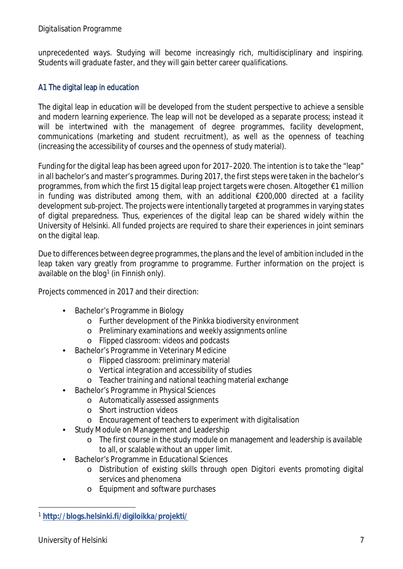unprecedented ways. Studying will become increasingly rich, multidisciplinary and inspiring. Students will graduate faster, and they will gain better career qualifications.

## A1 The digital leap in education

The digital leap in education will be developed from the student perspective to achieve a sensible and modern learning experience. The leap will not be developed as a separate process; instead it will be intertwined with the management of degree programmes, facility development, communications (marketing and student recruitment), as well as the openness of teaching (increasing the accessibility of courses and the openness of study material).

Funding for the digital leap has been agreed upon for 2017–2020. The intention is to take the "leap" in all bachelor's and master's programmes. During 2017, the first steps were taken in the bachelor's programmes, from which the first 15 digital leap project targets were chosen. Altogether €1 million in funding was distributed among them, with an additional €200,000 directed at a facility development sub-project. The projects were intentionally targeted at programmes in varying states of digital preparedness. Thus, experiences of the digital leap can be shared widely within the University of Helsinki. All funded projects are required to share their experiences in joint seminars on the digital leap.

Due to differences between degree programmes, the plans and the level of ambition included in the leap taken vary greatly from programme to programme. Further information on the project is available on the blog<sup>1</sup> (in Finnish only).

Projects commenced in 2017 and their direction:

- Bachelor's Programme in Biology
	- o Further development of the Pinkka biodiversity environment
	- o Preliminary examinations and weekly assignments online
	- o Flipped classroom: videos and podcasts
- Bachelor's Programme in Veterinary Medicine
	- o Flipped classroom: preliminary material
	- o Vertical integration and accessibility of studies
	- o Teacher training and national teaching material exchange
- Bachelor's Programme in Physical Sciences
	- o Automatically assessed assignments
	- o Short instruction videos
	- o Encouragement of teachers to experiment with digitalisation
- Study Module on Management and Leadership
	- o The first course in the study module on management and leadership is available to all, or scalable without an upper limit.
- Bachelor's Programme in Educational Sciences
	- o Distribution of existing skills through open Digitori events promoting digital services and phenomena
	- o Equipment and software purchases

<sup>1</sup> **http://blogs.helsinki.fi/digiloikka/projekti/**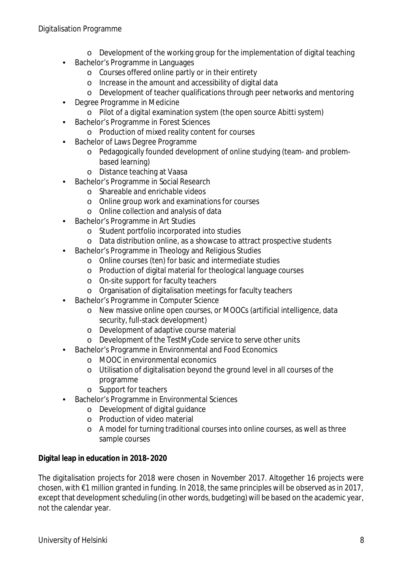#### Digitalisation Programme

- o Development of the working group for the implementation of digital teaching
- Bachelor's Programme in Languages
	- o Courses offered online partly or in their entirety
	- o Increase in the amount and accessibility of digital data
	- o Development of teacher qualifications through peer networks and mentoring
- Degree Programme in Medicine
	- o Pilot of a digital examination system (the open source Abitti system)
- Bachelor's Programme in Forest Sciences
	- o Production of mixed reality content for courses
- Bachelor of Laws Degree Programme
	- o Pedagogically founded development of online studying (team- and problembased learning)
	- o Distance teaching at Vaasa
- Bachelor's Programme in Social Research
	- o Shareable and enrichable videos
	- o Online group work and examinations for courses
	- o Online collection and analysis of data
- Bachelor's Programme in Art Studies
	- o Student portfolio incorporated into studies
	- o Data distribution online, as a showcase to attract prospective students
- Bachelor's Programme in Theology and Religious Studies
	- o Online courses (ten) for basic and intermediate studies
	- o Production of digital material for theological language courses
	- o On-site support for faculty teachers
	- o Organisation of digitalisation meetings for faculty teachers
- Bachelor's Programme in Computer Science
	- o New massive online open courses, or MOOCs (artificial intelligence, data security, full-stack development)
	- o Development of adaptive course material
	- o Development of the TestMyCode service to serve other units
- Bachelor's Programme in Environmental and Food Economics
	- o MOOC in environmental economics
	- o Utilisation of digitalisation beyond the ground level in all courses of the programme
	- o Support for teachers
- Bachelor's Programme in Environmental Sciences
	- o Development of digital guidance
	- o Production of video material
	- o A model for turning traditional courses into online courses, as well as three sample courses

**Digital leap in education in 2018–2020**

The digitalisation projects for 2018 were chosen in November 2017. Altogether 16 projects were chosen, with €1 million granted in funding. In 2018, the same principles will be observed as in 2017, except that development scheduling (in other words, budgeting) will be based on the academic year, not the calendar year.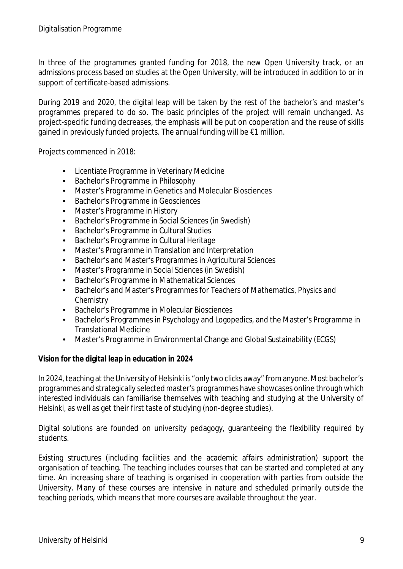In three of the programmes granted funding for 2018, the new Open University track, or an admissions process based on studies at the Open University, will be introduced in addition to or in support of certificate-based admissions.

During 2019 and 2020, the digital leap will be taken by the rest of the bachelor's and master's programmes prepared to do so. The basic principles of the project will remain unchanged. As project-specific funding decreases, the emphasis will be put on cooperation and the reuse of skills gained in previously funded projects. The annual funding will be €1 million.

Projects commenced in 2018:

- Licentiate Programme in Veterinary Medicine
- Bachelor's Programme in Philosophy
- Master's Programme in Genetics and Molecular Biosciences
- Bachelor's Programme in Geosciences
- Master's Programme in History
- Bachelor's Programme in Social Sciences (in Swedish)
- Bachelor's Programme in Cultural Studies
- Bachelor's Programme in Cultural Heritage
- Master's Programme in Translation and Interpretation
- Bachelor's and Master's Programmes in Agricultural Sciences
- Master's Programme in Social Sciences (in Swedish)
- Bachelor's Programme in Mathematical Sciences
- Bachelor's and Master's Programmes for Teachers of Mathematics, Physics and **Chemistry**
- Bachelor's Programme in Molecular Biosciences
- Bachelor's Programmes in Psychology and Logopedics, and the Master's Programme in Translational Medicine
- Master's Programme in Environmental Change and Global Sustainability (ECGS)

**Vision for the digital leap in education in 2024**

In 2024, teaching at the University of Helsinki is "only two clicks away" from anyone. Most bachelor's programmes and strategically selected master's programmes have showcases online through which interested individuals can familiarise themselves with teaching and studying at the University of Helsinki, as well as get their first taste of studying (non-degree studies).

Digital solutions are founded on university pedagogy, guaranteeing the flexibility required by students.

Existing structures (including facilities and the academic affairs administration) support the organisation of teaching. The teaching includes courses that can be started and completed at any time. An increasing share of teaching is organised in cooperation with parties from outside the University. Many of these courses are intensive in nature and scheduled primarily outside the teaching periods, which means that more courses are available throughout the year.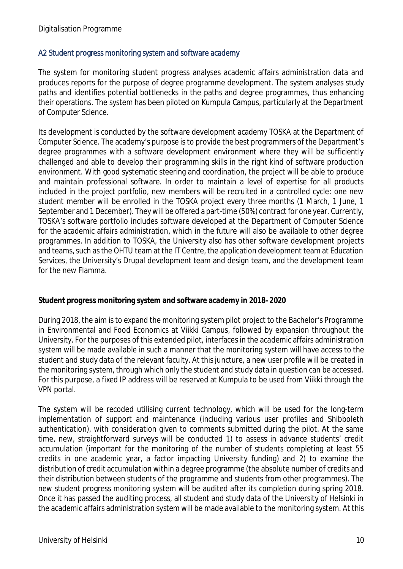#### A2 Student progress monitoring system and software academy

The system for monitoring student progress analyses academic affairs administration data and produces reports for the purpose of degree programme development. The system analyses study paths and identifies potential bottlenecks in the paths and degree programmes, thus enhancing their operations. The system has been piloted on Kumpula Campus, particularly at the Department of Computer Science.

Its development is conducted by the software development academy TOSKA at the Department of Computer Science. The academy's purpose is to provide the best programmers of the Department's degree programmes with a software development environment where they will be sufficiently challenged and able to develop their programming skills in the right kind of software production environment. With good systematic steering and coordination, the project will be able to produce and maintain professional software. In order to maintain a level of expertise for all products included in the project portfolio, new members will be recruited in a controlled cycle: one new student member will be enrolled in the TOSKA project every three months (1 March, 1 June, 1 September and 1 December). They will be offered a part-time (50%) contract for one year. Currently, TOSKA's software portfolio includes software developed at the Department of Computer Science for the academic affairs administration, which in the future will also be available to other degree programmes. In addition to TOSKA, the University also has other software development projects and teams, such as the OHTU team at the IT Centre, the application development team at Education Services, the University's Drupal development team and design team, and the development team for the new Flamma.

**Student progress monitoring system and software academy in 2018–2020**

During 2018, the aim is to expand the monitoring system pilot project to the Bachelor's Programme in Environmental and Food Economics at Viikki Campus, followed by expansion throughout the University. For the purposes of this extended pilot, interfaces in the academic affairs administration system will be made available in such a manner that the monitoring system will have access to the student and study data of the relevant faculty. At this juncture, a new user profile will be created in the monitoring system, through which only the student and study data in question can be accessed. For this purpose, a fixed IP address will be reserved at Kumpula to be used from Viikki through the VPN portal.

The system will be recoded utilising current technology, which will be used for the long-term implementation of support and maintenance (including various user profiles and Shibboleth authentication), with consideration given to comments submitted during the pilot. At the same time, new, straightforward surveys will be conducted 1) to assess in advance students' credit accumulation (important for the monitoring of the number of students completing at least 55 credits in one academic year, a factor impacting University funding) and 2) to examine the distribution of credit accumulation within a degree programme (the absolute number of credits and their distribution between students of the programme and students from other programmes). The new student progress monitoring system will be audited after its completion during spring 2018. Once it has passed the auditing process, all student and study data of the University of Helsinki in the academic affairs administration system will be made available to the monitoring system. At this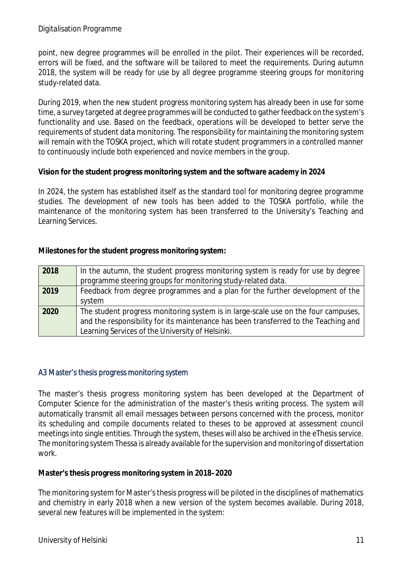point, new degree programmes will be enrolled in the pilot. Their experiences will be recorded, errors will be fixed, and the software will be tailored to meet the requirements. During autumn 2018, the system will be ready for use by all degree programme steering groups for monitoring study-related data.

During 2019, when the new student progress monitoring system has already been in use for some time, a survey targeted at degree programmes will be conducted to gather feedback on the system's functionality and use. Based on the feedback, operations will be developed to better serve the requirements of student data monitoring. The responsibility for maintaining the monitoring system will remain with the TOSKA project, which will rotate student programmers in a controlled manner to continuously include both experienced and novice members in the group.

**Vision for the student progress monitoring system and the software academy in 2024**

In 2024, the system has established itself as the standard tool for monitoring degree programme studies. The development of new tools has been added to the TOSKA portfolio, while the maintenance of the monitoring system has been transferred to the University's Teaching and Learning Services.

**Milestones for the student progress monitoring system:**

| 2018 | In the autumn, the student progress monitoring system is ready for use by degree    |
|------|-------------------------------------------------------------------------------------|
|      | programme steering groups for monitoring study-related data.                        |
| 2019 | Feedback from degree programmes and a plan for the further development of the       |
|      | system                                                                              |
| 2020 | The student progress monitoring system is in large-scale use on the four campuses,  |
|      | and the responsibility for its maintenance has been transferred to the Teaching and |
|      | Learning Services of the University of Helsinki.                                    |

#### A3 Master's thesis progress monitoring system

The master's thesis progress monitoring system has been developed at the Department of Computer Science for the administration of the master's thesis writing process. The system will automatically transmit all email messages between persons concerned with the process, monitor its scheduling and compile documents related to theses to be approved at assessment council meetings into single entities. Through the system, theses will also be archived in the eThesis service. The monitoring system Thessa is already available for the supervision and monitoring of dissertation work.

**Master's thesis progress monitoring system in 2018–2020**

The monitoring system for Master's thesis progress will be piloted in the disciplines of mathematics and chemistry in early 2018 when a new version of the system becomes available. During 2018, several new features will be implemented in the system: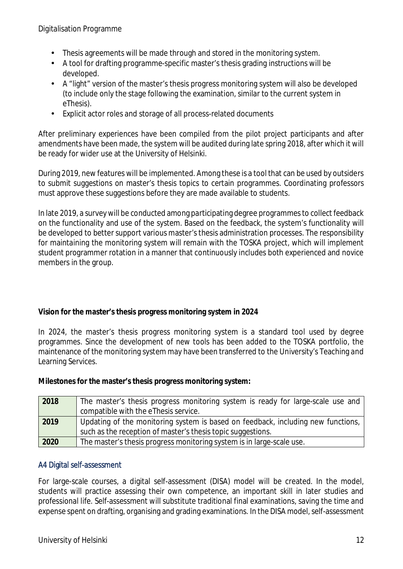- Thesis agreements will be made through and stored in the monitoring system.
- A tool for drafting programme-specific master's thesis grading instructions will be developed.
- A "light" version of the master's thesis progress monitoring system will also be developed (to include only the stage following the examination, similar to the current system in eThesis).
- Explicit actor roles and storage of all process-related documents  $\mathbf{r}^{(1)}$

After preliminary experiences have been compiled from the pilot project participants and after amendments have been made, the system will be audited during late spring 2018, after which it will be ready for wider use at the University of Helsinki.

During 2019, new features will be implemented. Among these is a tool that can be used by outsiders to submit suggestions on master's thesis topics to certain programmes. Coordinating professors must approve these suggestions before they are made available to students.

In late 2019, a survey will be conducted among participating degree programmes to collect feedback on the functionality and use of the system. Based on the feedback, the system's functionality will be developed to better support various master's thesis administration processes. The responsibility for maintaining the monitoring system will remain with the TOSKA project, which will implement student programmer rotation in a manner that continuously includes both experienced and novice members in the group.

**Vision for the master's thesis progress monitoring system in 2024**

In 2024, the master's thesis progress monitoring system is a standard tool used by degree programmes. Since the development of new tools has been added to the TOSKA portfolio, the maintenance of the monitoring system may have been transferred to the University's Teaching and Learning Services.

**Milestones for the master's thesis progress monitoring system:**

| 2018 | The master's thesis progress monitoring system is ready for large-scale use and<br>compatible with the eThesis service.                         |
|------|-------------------------------------------------------------------------------------------------------------------------------------------------|
| 2019 | Updating of the monitoring system is based on feedback, including new functions,<br>such as the reception of master's thesis topic suggestions. |
| 2020 | The master's thesis progress monitoring system is in large-scale use.                                                                           |

### A4 Digital self-assessment

For large-scale courses, a digital self-assessment (DISA) model will be created. In the model, students will practice assessing their own competence, an important skill in later studies and professional life. Self-assessment will substitute traditional final examinations, saving the time and expense spent on drafting, organising and grading examinations. In the DISA model, self-assessment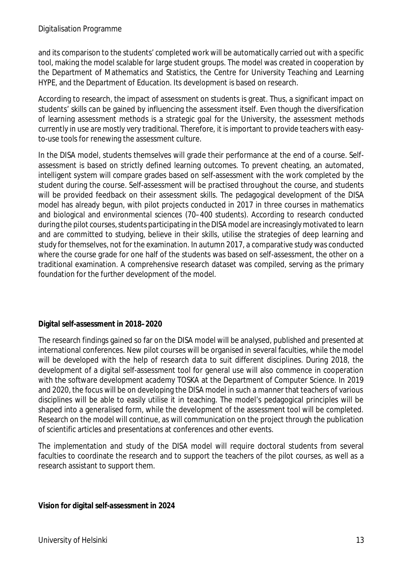and its comparison to the students' completed work will be automatically carried out with a specific tool, making the model scalable for large student groups. The model was created in cooperation by the Department of Mathematics and Statistics, the Centre for University Teaching and Learning HYPE, and the Department of Education. Its development is based on research.

According to research, the impact of assessment on students is great. Thus, a significant impact on students' skills can be gained by influencing the assessment itself. Even though the diversification of learning assessment methods is a strategic goal for the University, the assessment methods currently in use are mostly very traditional. Therefore, it is important to provide teachers with easyto-use tools for renewing the assessment culture.

In the DISA model, students themselves will grade their performance at the end of a course. Selfassessment is based on strictly defined learning outcomes. To prevent cheating, an automated, intelligent system will compare grades based on self-assessment with the work completed by the student during the course. Self-assessment will be practised throughout the course, and students will be provided feedback on their assessment skills. The pedagogical development of the DISA model has already begun, with pilot projects conducted in 2017 in three courses in mathematics and biological and environmental sciences (70–400 students). According to research conducted during the pilot courses, students participating in the DISA model are increasingly motivated to learn and are committed to studying, believe in their skills, utilise the strategies of deep learning and study for themselves, not for the examination. In autumn 2017, a comparative study was conducted where the course grade for one half of the students was based on self-assessment, the other on a traditional examination. A comprehensive research dataset was compiled, serving as the primary foundation for the further development of the model.

#### **Digital self-assessment in 2018–2020**

The research findings gained so far on the DISA model will be analysed, published and presented at international conferences. New pilot courses will be organised in several faculties, while the model will be developed with the help of research data to suit different disciplines. During 2018, the development of a digital self-assessment tool for general use will also commence in cooperation with the software development academy TOSKA at the Department of Computer Science. In 2019 and 2020, the focus will be on developing the DISA model in such a manner that teachers of various disciplines will be able to easily utilise it in teaching. The model's pedagogical principles will be shaped into a generalised form, while the development of the assessment tool will be completed. Research on the model will continue, as will communication on the project through the publication of scientific articles and presentations at conferences and other events.

The implementation and study of the DISA model will require doctoral students from several faculties to coordinate the research and to support the teachers of the pilot courses, as well as a research assistant to support them.

**Vision for digital self-assessment in 2024**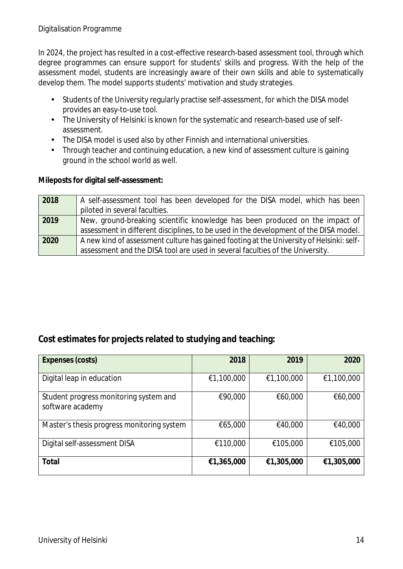In 2024, the project has resulted in a cost-effective research-based assessment tool, through which degree programmes can ensure support for students' skills and progress. With the help of the assessment model, students are increasingly aware of their own skills and able to systematically develop them. The model supports students' motivation and study strategies.

- $\mathcal{L}^{\text{max}}$ Students of the University regularly practise self-assessment, for which the DISA model provides an easy-to-use tool.
- The University of Helsinki is known for the systematic and research-based use of self- $\mathcal{L}^{\text{max}}$ assessment.
- The DISA model is used also by other Finnish and international universities.  $\mathbf{r}$
- Through teacher and continuing education, a new kind of assessment culture is gaining ground in the school world as well.

**Mileposts for digital self-assessment:**

| 2018 | A self-assessment tool has been developed for the DISA model, which has been             |
|------|------------------------------------------------------------------------------------------|
|      | piloted in several faculties.                                                            |
| 2019 | New, ground-breaking scientific knowledge has been produced on the impact of             |
|      | assessment in different disciplines, to be used in the development of the DISA model.    |
| 2020 | A new kind of assessment culture has gained footing at the University of Helsinki: self- |
|      | assessment and the DISA tool are used in several faculties of the University.            |

## **Cost estimates for projects related to studying and teaching:**

| Expenses (costs)                                           | 2018       | 2019       | 2020       |
|------------------------------------------------------------|------------|------------|------------|
| Digital leap in education                                  | €1,100,000 | €1,100,000 | €1,100,000 |
| Student progress monitoring system and<br>software academy | €90,000    | €60,000    | €60,000    |
| Master's thesis progress monitoring system                 | €65,000    | €40,000    | €40,000    |
| Digital self-assessment DISA                               | €110,000   | €105,000   | €105,000   |
| Total                                                      | €1,365,000 | €1,305,000 | €1,305,000 |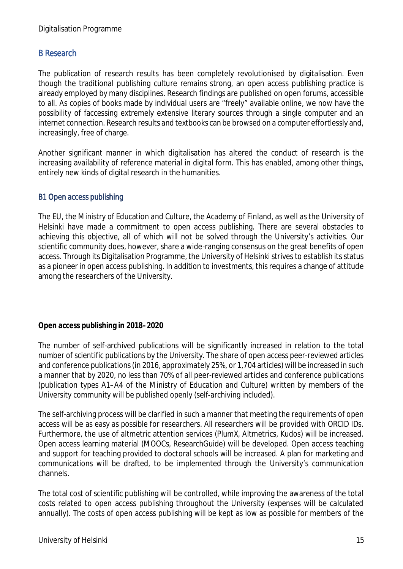## B Research

The publication of research results has been completely revolutionised by digitalisation. Even though the traditional publishing culture remains strong, an open access publishing practice is already employed by many disciplines. Research findings are published on open forums, accessible to all. As copies of books made by individual users are "freely" available online, we now have the possibility of faccessing extremely extensive literary sources through a single computer and an internet connection. Research results and textbooks can be browsed on a computer effortlessly and, increasingly, free of charge.

Another significant manner in which digitalisation has altered the conduct of research is the increasing availability of reference material in digital form. This has enabled, among other things, entirely new kinds of digital research in the humanities.

#### B1 Open access publishing

The EU, the Ministry of Education and Culture, the Academy of Finland, as well as the University of Helsinki have made a commitment to open access publishing. There are several obstacles to achieving this objective, all of which will not be solved through the University's activities. Our scientific community does, however, share a wide-ranging consensus on the great benefits of open access. Through its Digitalisation Programme, the University of Helsinki strives to establish its status as a pioneer in open access publishing. In addition to investments, this requires a change of attitude among the researchers of the University.

**Open access publishing in 2018–2020**

The number of self-archived publications will be significantly increased in relation to the total number of scientific publications by the University. The share of open access peer-reviewed articles and conference publications (in 2016, approximately 25%, or 1,704 articles) will be increased in such a manner that by 2020, no less than 70% of all peer-reviewed articles and conference publications (publication types A1–A4 of the Ministry of Education and Culture) written by members of the University community will be published openly (self-archiving included).

The self-archiving process will be clarified in such a manner that meeting the requirements of open access will be as easy as possible for researchers. All researchers will be provided with ORCID IDs. Furthermore, the use of altmetric attention services (PlumX, Altmetrics, Kudos) will be increased. Open access learning material (MOOCs, ResearchGuide) will be developed. Open access teaching and support for teaching provided to doctoral schools will be increased. A plan for marketing and communications will be drafted, to be implemented through the University's communication channels.

The total cost of scientific publishing will be controlled, while improving the awareness of the total costs related to open access publishing throughout the University (expenses will be calculated annually). The costs of open access publishing will be kept as low as possible for members of the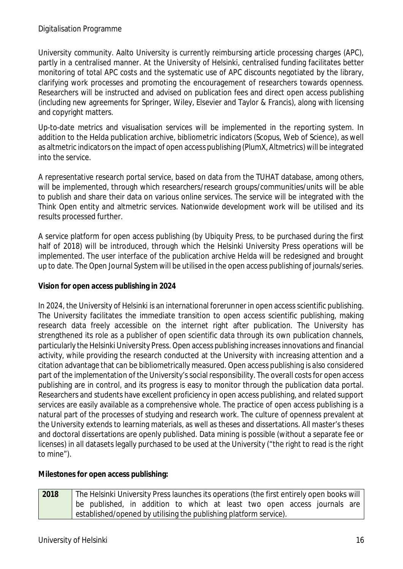University community. Aalto University is currently reimbursing article processing charges (APC), partly in a centralised manner. At the University of Helsinki, centralised funding facilitates better monitoring of total APC costs and the systematic use of APC discounts negotiated by the library, clarifying work processes and promoting the encouragement of researchers towards openness. Researchers will be instructed and advised on publication fees and direct open access publishing (including new agreements for Springer, Wiley, Elsevier and Taylor & Francis), along with licensing and copyright matters.

Up-to-date metrics and visualisation services will be implemented in the reporting system. In addition to the Helda publication archive, bibliometric indicators (Scopus, Web of Science), as well as altmetric indicators on the impact of open access publishing (PlumX, Altmetrics) will be integrated into the service.

A representative research portal service, based on data from the TUHAT database, among others, will be implemented, through which researchers/research groups/communities/units will be able to publish and share their data on various online services. The service will be integrated with the Think Open entity and altmetric services. Nationwide development work will be utilised and its results processed further.

A service platform for open access publishing (by Ubiquity Press, to be purchased during the first half of 2018) will be introduced, through which the Helsinki University Press operations will be implemented. The user interface of the publication archive Helda will be redesigned and brought up to date. The Open Journal System will be utilised in the open access publishing of journals/series.

**Vision for open access publishing in 2024**

In 2024, the University of Helsinki is an international forerunner in open access scientific publishing. The University facilitates the immediate transition to open access scientific publishing, making research data freely accessible on the internet right after publication. The University has strengthened its role as a publisher of open scientific data through its own publication channels, particularly the Helsinki University Press. Open access publishing increases innovations and financial activity, while providing the research conducted at the University with increasing attention and a citation advantage that can be bibliometrically measured. Open access publishing is also considered part of the implementation of the University's social responsibility. The overall costs for open access publishing are in control, and its progress is easy to monitor through the publication data portal. Researchers and students have excellent proficiency in open access publishing, and related support services are easily available as a comprehensive whole. The practice of open access publishing is a natural part of the processes of studying and research work. The culture of openness prevalent at the University extends to learning materials, as well as theses and dissertations. All master's theses and doctoral dissertations are openly published. Data mining is possible (without a separate fee or licenses) in all datasets legally purchased to be used at the University ("the right to read is the right to mine").

**Milestones for open access publishing:**

**2018** The Helsinki University Press launches its operations (the first entirely open books will be published, in addition to which at least two open access journals are established/opened by utilising the publishing platform service).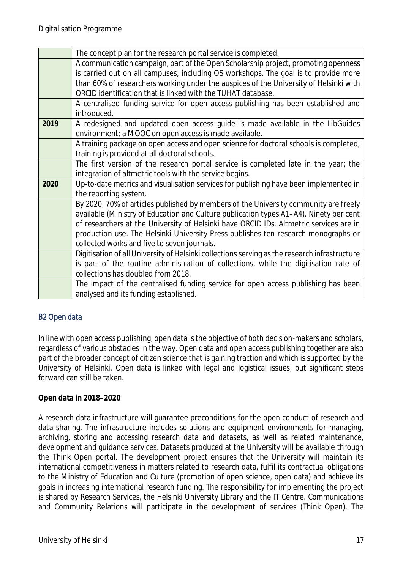|      | The concept plan for the research portal service is completed.                                |
|------|-----------------------------------------------------------------------------------------------|
|      | A communication campaign, part of the Open Scholarship project, promoting openness            |
|      | is carried out on all campuses, including OS workshops. The goal is to provide more           |
|      | than 60% of researchers working under the auspices of the University of Helsinki with         |
|      | ORCID identification that is linked with the TUHAT database.                                  |
|      | A centralised funding service for open access publishing has been established and             |
|      | introduced.                                                                                   |
| 2019 | A redesigned and updated open access guide is made available in the LibGuides                 |
|      | environment; a MOOC on open access is made available.                                         |
|      | A training package on open access and open science for doctoral schools is completed;         |
|      | training is provided at all doctoral schools.                                                 |
|      | The first version of the research portal service is completed late in the year; the           |
|      | integration of altmetric tools with the service begins.                                       |
| 2020 | Up-to-date metrics and visualisation services for publishing have been implemented in         |
|      | the reporting system.                                                                         |
|      | By 2020, 70% of articles published by members of the University community are freely          |
|      | available (Ministry of Education and Culture publication types A1-A4). Ninety per cent        |
|      | of researchers at the University of Helsinki have ORCID IDs. Altmetric services are in        |
|      | production use. The Helsinki University Press publishes ten research monographs or            |
|      | collected works and five to seven journals.                                                   |
|      | Digitisation of all University of Helsinki collections serving as the research infrastructure |
|      | is part of the routine administration of collections, while the digitisation rate of          |
|      | collections has doubled from 2018.                                                            |
|      | The impact of the centralised funding service for open access publishing has been             |
|      | analysed and its funding established.                                                         |

## B2 Open data

In line with open access publishing, open data is the objective of both decision-makers and scholars, regardless of various obstacles in the way. Open data and open access publishing together are also part of the broader concept of citizen science that is gaining traction and which is supported by the University of Helsinki. Open data is linked with legal and logistical issues, but significant steps forward can still be taken.

**Open data in 2018–2020**

A research data infrastructure will guarantee preconditions for the open conduct of research and data sharing. The infrastructure includes solutions and equipment environments for managing, archiving, storing and accessing research data and datasets, as well as related maintenance, development and guidance services. Datasets produced at the University will be available through the Think Open portal. The development project ensures that the University will maintain its international competitiveness in matters related to research data, fulfil its contractual obligations to the Ministry of Education and Culture (promotion of open science, open data) and achieve its goals in increasing international research funding. The responsibility for implementing the project is shared by Research Services, the Helsinki University Library and the IT Centre. Communications and Community Relations will participate in the development of services (Think Open). The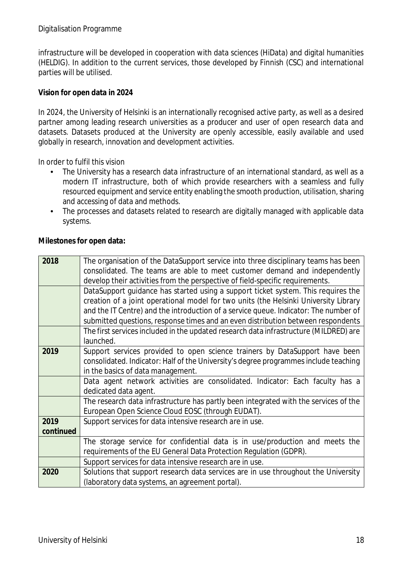infrastructure will be developed in cooperation with data sciences (HiData) and digital humanities (HELDIG). In addition to the current services, those developed by Finnish (CSC) and international parties will be utilised.

**Vision for open data in 2024**

In 2024, the University of Helsinki is an internationally recognised active party, as well as a desired partner among leading research universities as a producer and user of open research data and datasets. Datasets produced at the University are openly accessible, easily available and used globally in research, innovation and development activities.

In order to fulfil this vision

- The University has a research data infrastructure of an international standard, as well as a modern IT infrastructure, both of which provide researchers with a seamless and fully resourced equipment and service entity enabling the smooth production, utilisation, sharing and accessing of data and methods.
- The processes and datasets related to research are digitally managed with applicable data systems.

| 2018      | The organisation of the DataSupport service into three disciplinary teams has been    |
|-----------|---------------------------------------------------------------------------------------|
|           | consolidated. The teams are able to meet customer demand and independently            |
|           | develop their activities from the perspective of field-specific requirements.         |
|           | DataSupport guidance has started using a support ticket system. This requires the     |
|           | creation of a joint operational model for two units (the Helsinki University Library  |
|           | and the IT Centre) and the introduction of a service queue. Indicator: The number of  |
|           | submitted questions, response times and an even distribution between respondents      |
|           | The first services included in the updated research data infrastructure (MILDRED) are |
|           | launched.                                                                             |
| 2019      | Support services provided to open science trainers by DataSupport have been           |
|           | consolidated. Indicator: Half of the University's degree programmes include teaching  |
|           | in the basics of data management.                                                     |
|           | Data agent network activities are consolidated. Indicator: Each faculty has a         |
|           | dedicated data agent.                                                                 |
|           | The research data infrastructure has partly been integrated with the services of the  |
|           | European Open Science Cloud EOSC (through EUDAT).                                     |
| 2019      | Support services for data intensive research are in use.                              |
| continued |                                                                                       |
|           | The storage service for confidential data is in use/production and meets the          |
|           | requirements of the EU General Data Protection Regulation (GDPR).                     |
|           | Support services for data intensive research are in use.                              |
| 2020      | Solutions that support research data services are in use throughout the University    |
|           | (laboratory data systems, an agreement portal).                                       |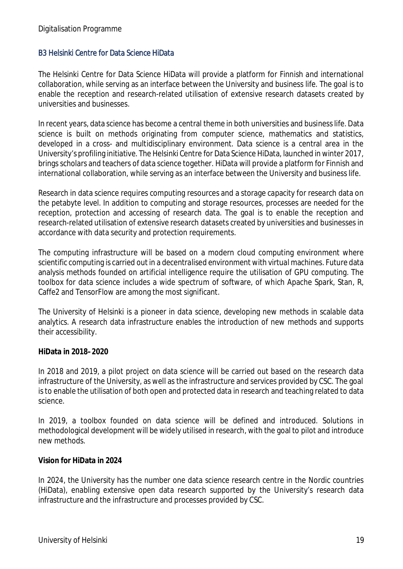#### B3 Helsinki Centre for Data Science HiData

The Helsinki Centre for Data Science HiData will provide a platform for Finnish and international collaboration, while serving as an interface between the University and business life. The goal is to enable the reception and research-related utilisation of extensive research datasets created by universities and businesses.

In recent years, data science has become a central theme in both universities and business life. Data science is built on methods originating from computer science, mathematics and statistics, developed in a cross- and multidisciplinary environment. Data science is a central area in the University's profiling initiative. The Helsinki Centre for Data Science HiData, launched in winter 2017, brings scholars and teachers of data science together. HiData will provide a platform for Finnish and international collaboration, while serving as an interface between the University and business life.

Research in data science requires computing resources and a storage capacity for research data on the petabyte level. In addition to computing and storage resources, processes are needed for the reception, protection and accessing of research data. The goal is to enable the reception and research-related utilisation of extensive research datasets created by universities and businesses in accordance with data security and protection requirements.

The computing infrastructure will be based on a modern cloud computing environment where scientific computing is carried out in a decentralised environment with virtual machines. Future data analysis methods founded on artificial intelligence require the utilisation of GPU computing. The toolbox for data science includes a wide spectrum of software, of which Apache Spark, Stan, R, Caffe2 and TensorFlow are among the most significant.

The University of Helsinki is a pioneer in data science, developing new methods in scalable data analytics. A research data infrastructure enables the introduction of new methods and supports their accessibility.

**HiData in 2018–2020**

In 2018 and 2019, a pilot project on data science will be carried out based on the research data infrastructure of the University, as well as the infrastructure and services provided by CSC. The goal is to enable the utilisation of both open and protected data in research and teaching related to data science.

In 2019, a toolbox founded on data science will be defined and introduced. Solutions in methodological development will be widely utilised in research, with the goal to pilot and introduce new methods.

#### **Vision for HiData in 2024**

In 2024, the University has the number one data science research centre in the Nordic countries (HiData), enabling extensive open data research supported by the University's research data infrastructure and the infrastructure and processes provided by CSC.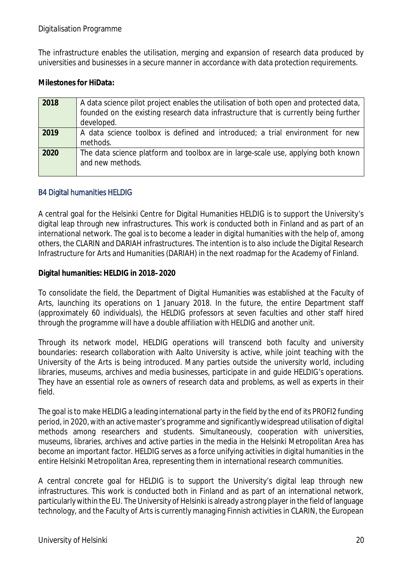The infrastructure enables the utilisation, merging and expansion of research data produced by universities and businesses in a secure manner in accordance with data protection requirements.

**Milestones for HiData:**

| 2018 | A data science pilot project enables the utilisation of both open and protected data,<br>founded on the existing research data infrastructure that is currently being further<br>developed. |
|------|---------------------------------------------------------------------------------------------------------------------------------------------------------------------------------------------|
| 2019 | A data science toolbox is defined and introduced; a trial environment for new<br>methods.                                                                                                   |
| 2020 | The data science platform and toolbox are in large-scale use, applying both known<br>and new methods.                                                                                       |

## B4 Digital humanities HELDIG

A central goal for the Helsinki Centre for Digital Humanities HELDIG is to support the University's digital leap through new infrastructures. This work is conducted both in Finland and as part of an international network. The goal is to become a leader in digital humanities with the help of, among others, the CLARIN and DARIAH infrastructures. The intention is to also include the Digital Research Infrastructure for Arts and Humanities (DARIAH) in the next roadmap for the Academy of Finland.

**Digital humanities: HELDIG in 2018–2020**

To consolidate the field, the Department of Digital Humanities was established at the Faculty of Arts, launching its operations on 1 January 2018. In the future, the entire Department staff (approximately 60 individuals), the HELDIG professors at seven faculties and other staff hired through the programme will have a double affiliation with HELDIG and another unit.

Through its network model, HELDIG operations will transcend both faculty and university boundaries: research collaboration with Aalto University is active, while joint teaching with the University of the Arts is being introduced. Many parties outside the university world, including libraries, museums, archives and media businesses, participate in and guide HELDIG's operations. They have an essential role as owners of research data and problems, as well as experts in their field.

The goal is to make HELDIG a leading international party in the field by the end of its PROFI2 funding period, in 2020, with an active master's programme and significantly widespread utilisation of digital methods among researchers and students. Simultaneously, cooperation with universities, museums, libraries, archives and active parties in the media in the Helsinki Metropolitan Area has become an important factor. HELDIG serves as a force unifying activities in digital humanities in the entire Helsinki Metropolitan Area, representing them in international research communities.

A central concrete goal for HELDIG is to support the University's digital leap through new infrastructures. This work is conducted both in Finland and as part of an international network, particularly within the EU. The University of Helsinki is already a strong player in the field of language technology, and the Faculty of Arts is currently managing Finnish activities in CLARIN, the European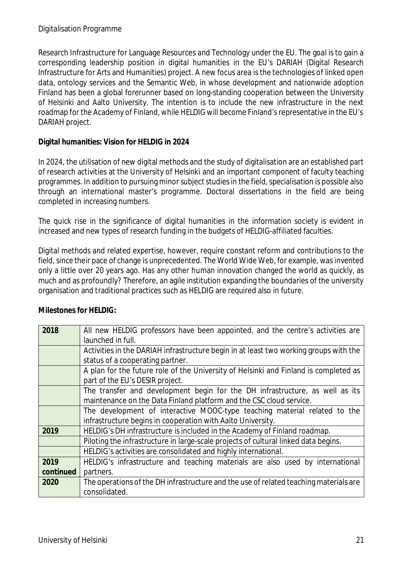Research Infrastructure for Language Resources and Technology under the EU. The goal is to gain a corresponding leadership position in digital humanities in the EU's DARIAH (Digital Research Infrastructure for Arts and Humanities) project. A new focus area is the technologies of linked open data, ontology services and the Semantic Web, in whose development and nationwide adoption Finland has been a global forerunner based on long-standing cooperation between the University of Helsinki and Aalto University. The intention is to include the new infrastructure in the next roadmap for the Academy of Finland, while HELDIG will become Finland's representative in the EU's DARIAH project.

**Digital humanities: Vision for HELDIG in 2024**

In 2024, the utilisation of new digital methods and the study of digitalisation are an established part of research activities at the University of Helsinki and an important component of faculty teaching programmes. In addition to pursuing minor subject studies in the field, specialisation is possible also through an international master's programme. Doctoral dissertations in the field are being completed in increasing numbers.

The quick rise in the significance of digital humanities in the information society is evident in increased and new types of research funding in the budgets of HELDIG-affiliated faculties.

Digital methods and related expertise, however, require constant reform and contributions to the field, since their pace of change is unprecedented. The World Wide Web, for example, was invented only a little over 20 years ago. Has any other human innovation changed the world as quickly, as much and as profoundly? Therefore, an agile institution expanding the boundaries of the university organisation and traditional practices such as HELDIG are required also in future.

| 2018      | All new HELDIG professors have been appointed, and the centre's activities are        |
|-----------|---------------------------------------------------------------------------------------|
|           |                                                                                       |
|           | launched in full.                                                                     |
|           | Activities in the DARIAH infrastructure begin in at least two working groups with the |
|           | status of a cooperating partner.                                                      |
|           | A plan for the future role of the University of Helsinki and Finland is completed as  |
|           | part of the EU's DESIR project.                                                       |
|           | The transfer and development begin for the DH infrastructure, as well as its          |
|           | maintenance on the Data Finland platform and the CSC cloud service.                   |
|           | The development of interactive MOOC-type teaching material related to the             |
|           | infrastructure begins in cooperation with Aalto University.                           |
| 2019      | HELDIG's DH infrastructure is included in the Academy of Finland roadmap.             |
|           | Piloting the infrastructure in large-scale projects of cultural linked data begins.   |
|           | HELDIG's activities are consolidated and highly international.                        |
| 2019      | HELDIG's infrastructure and teaching materials are also used by international         |
| continued | partners.                                                                             |
| 2020      | The operations of the DH infrastructure and the use of related teaching materials are |
|           | consolidated.                                                                         |

**Milestones for HELDIG:**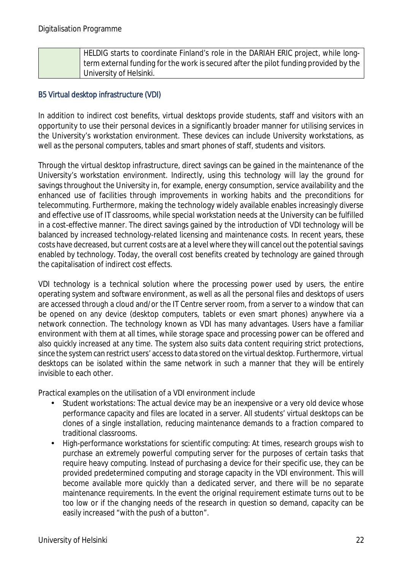| HELDIG starts to coordinate Finland's role in the DARIAH ERIC project, while long-    |
|---------------------------------------------------------------------------------------|
| term external funding for the work is secured after the pilot funding provided by the |
| University of Helsinki.                                                               |

### B5 Virtual desktop infrastructure (VDI)

In addition to indirect cost benefits, virtual desktops provide students, staff and visitors with an opportunity to use their personal devices in a significantly broader manner for utilising services in the University's workstation environment. These devices can include University workstations, as well as the personal computers, tables and smart phones of staff, students and visitors.

Through the virtual desktop infrastructure, direct savings can be gained in the maintenance of the University's workstation environment. Indirectly, using this technology will lay the ground for savings throughout the University in, for example, energy consumption, service availability and the enhanced use of facilities through improvements in working habits and the preconditions for telecommuting. Furthermore, making the technology widely available enables increasingly diverse and effective use of IT classrooms, while special workstation needs at the University can be fulfilled in a cost-effective manner. The direct savings gained by the introduction of VDI technology will be balanced by increased technology-related licensing and maintenance costs. In recent years, these costs have decreased, but current costs are at a level where they will cancel out the potential savings enabled by technology. Today, the overall cost benefits created by technology are gained through the capitalisation of indirect cost effects.

VDI technology is a technical solution where the processing power used by users, the entire operating system and software environment, as well as all the personal files and desktops of users are accessed through a cloud and/or the IT Centre server room, from a server to a window that can be opened on any device (desktop computers, tablets or even smart phones) anywhere via a network connection. The technology known as VDI has many advantages. Users have a familiar environment with them at all times, while storage space and processing power can be offered and also quickly increased at any time. The system also suits data content requiring strict protections, since the system can restrict users' access to data stored on the virtual desktop. Furthermore, virtual desktops can be isolated within the same network in such a manner that they will be entirely invisible to each other.

Practical examples on the utilisation of a VDI environment include

- Student workstations: The actual device may be an inexpensive or a very old device whose performance capacity and files are located in a server. All students' virtual desktops can be clones of a single installation, reducing maintenance demands to a fraction compared to traditional classrooms.
- High-performance workstations for scientific computing: At times, research groups wish to purchase an extremely powerful computing server for the purposes of certain tasks that require heavy computing. Instead of purchasing a device for their specific use, they can be provided predetermined computing and storage capacity in the VDI environment. This will become available more quickly than a dedicated server, and there will be no separate maintenance requirements. In the event the original requirement estimate turns out to be too low or if the changing needs of the research in question so demand, capacity can be easily increased "with the push of a button".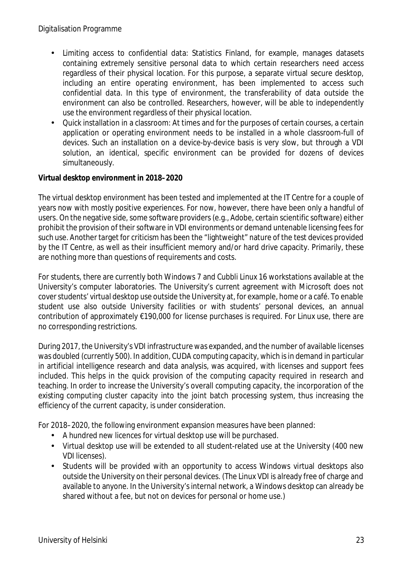- Limiting access to confidential data: Statistics Finland, for example, manages datasets containing extremely sensitive personal data to which certain researchers need access regardless of their physical location. For this purpose, a separate virtual secure desktop, including an entire operating environment, has been implemented to access such confidential data. In this type of environment, the transferability of data outside the environment can also be controlled. Researchers, however, will be able to independently use the environment regardless of their physical location.
- Quick installation in a classroom: At times and for the purposes of certain courses, a certain l. application or operating environment needs to be installed in a whole classroom-full of devices. Such an installation on a device-by-device basis is very slow, but through a VDI solution, an identical, specific environment can be provided for dozens of devices simultaneously.

**Virtual desktop environment in 2018–2020**

The virtual desktop environment has been tested and implemented at the IT Centre for a couple of years now with mostly positive experiences. For now, however, there have been only a handful of users. On the negative side, some software providers (e.g., Adobe, certain scientific software) either prohibit the provision of their software in VDI environments or demand untenable licensing fees for such use. Another target for criticism has been the "lightweight" nature of the test devices provided by the IT Centre, as well as their insufficient memory and/or hard drive capacity. Primarily, these are nothing more than questions of requirements and costs.

For students, there are currently both Windows 7 and Cubbli Linux 16 workstations available at the University's computer laboratories. The University's current agreement with Microsoft does not cover students' virtual desktop use outside the University at, for example, home or a café. To enable student use also outside University facilities or with students' personal devices, an annual contribution of approximately €190,000 for license purchases is required. For Linux use, there are no corresponding restrictions.

During 2017, the University's VDI infrastructure was expanded, and the number of available licenses was doubled (currently 500). In addition, CUDA computing capacity, which is in demand in particular in artificial intelligence research and data analysis, was acquired, with licenses and support fees included. This helps in the quick provision of the computing capacity required in research and teaching. In order to increase the University's overall computing capacity, the incorporation of the existing computing cluster capacity into the joint batch processing system, thus increasing the efficiency of the current capacity, is under consideration.

For 2018–2020, the following environment expansion measures have been planned:

- A hundred new licences for virtual desktop use will be purchased.
- Virtual desktop use will be extended to all student-related use at the University (400 new VDI licenses).
- $\mathbf{r}$ Students will be provided with an opportunity to access Windows virtual desktops also outside the University on their personal devices. (The Linux VDI is already free of charge and available to anyone. In the University's internal network, a Windows desktop can already be shared without a fee, but not on devices for personal or home use.)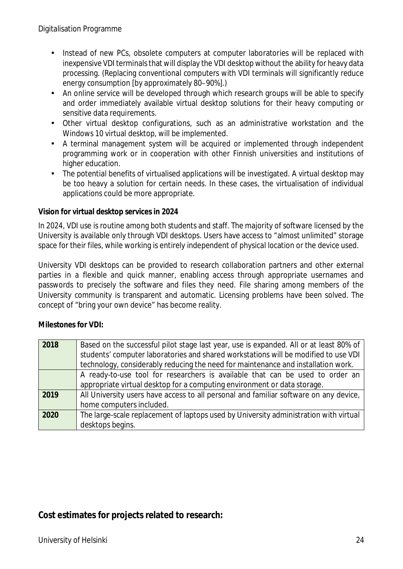- Instead of new PCs, obsolete computers at computer laboratories will be replaced with inexpensive VDI terminals that will display the VDI desktop without the ability for heavy data processing. (Replacing conventional computers with VDI terminals will significantly reduce energy consumption [by approximately 80–90%].)
- An online service will be developed through which research groups will be able to specify  $\mathbf{r}$ and order immediately available virtual desktop solutions for their heavy computing or sensitive data requirements.
- Other virtual desktop configurations, such as an administrative workstation and the  $\mathbf{r}$ Windows 10 virtual desktop, will be implemented.
- A terminal management system will be acquired or implemented through independent  $\mathcal{L}^{\text{max}}$ programming work or in cooperation with other Finnish universities and institutions of higher education.
- The potential benefits of virtualised applications will be investigated. A virtual desktop may be too heavy a solution for certain needs. In these cases, the virtualisation of individual applications could be more appropriate.

#### **Vision for virtual desktop services in 2024**

In 2024, VDI use is routine among both students and staff. The majority of software licensed by the University is available only through VDI desktops. Users have access to "almost unlimited" storage space for their files, while working is entirely independent of physical location or the device used.

University VDI desktops can be provided to research collaboration partners and other external parties in a flexible and quick manner, enabling access through appropriate usernames and passwords to precisely the software and files they need. File sharing among members of the University community is transparent and automatic. Licensing problems have been solved. The concept of "bring your own device" has become reality.

**Milestones for VDI:**

| 2018 | Based on the successful pilot stage last year, use is expanded. All or at least 80% of |
|------|----------------------------------------------------------------------------------------|
|      | students' computer laboratories and shared workstations will be modified to use VDI    |
|      | technology, considerably reducing the need for maintenance and installation work.      |
|      | A ready-to-use tool for researchers is available that can be used to order an          |
|      | appropriate virtual desktop for a computing environment or data storage.               |
| 2019 | All University users have access to all personal and familiar software on any device,  |
|      | home computers included.                                                               |
| 2020 | The large-scale replacement of laptops used by University administration with virtual  |
|      | desktops begins.                                                                       |

## **Cost estimates for projects related to research:**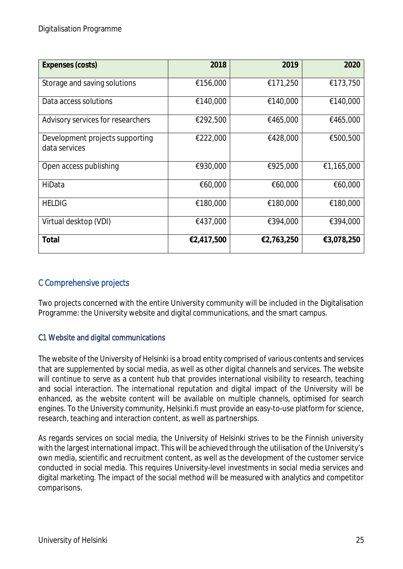| Expenses (costs)                                 | 2018       | 2019       | 2020       |
|--------------------------------------------------|------------|------------|------------|
| Storage and saving solutions                     | €156,000   | €171,250   | €173,750   |
| Data access solutions                            | €140,000   | €140,000   | €140,000   |
| Advisory services for researchers                | €292,500   | €465,000   | €465,000   |
| Development projects supporting<br>data services | €222,000   | €428,000   | €500,500   |
| Open access publishing                           | €930,000   | €925,000   | €1,165,000 |
| HiData                                           | €60,000    | €60,000    | €60,000    |
| <b>HELDIG</b>                                    | €180,000   | €180,000   | €180,000   |
| Virtual desktop (VDI)                            | €437,000   | €394,000   | €394,000   |
| Total                                            | €2,417,500 | €2,763,250 | €3,078,250 |

## C Comprehensive projects

Two projects concerned with the entire University community will be included in the Digitalisation Programme: the University website and digital communications, and the smart campus.

### C1 Website and digital communications

The website of the University of Helsinki is a broad entity comprised of various contents and services that are supplemented by social media, as well as other digital channels and services. The website will continue to serve as a content hub that provides international visibility to research, teaching and social interaction. The international reputation and digital impact of the University will be enhanced, as the website content will be available on multiple channels, optimised for search engines. To the University community, Helsinki.fi must provide an easy-to-use platform for science, research, teaching and interaction content, as well as partnerships.

As regards services on social media, the University of Helsinki strives to be the Finnish university with the largest international impact. This will be achieved through the utilisation of the University's own media, scientific and recruitment content, as well as the development of the customer service conducted in social media. This requires University-level investments in social media services and digital marketing. The impact of the social method will be measured with analytics and competitor comparisons.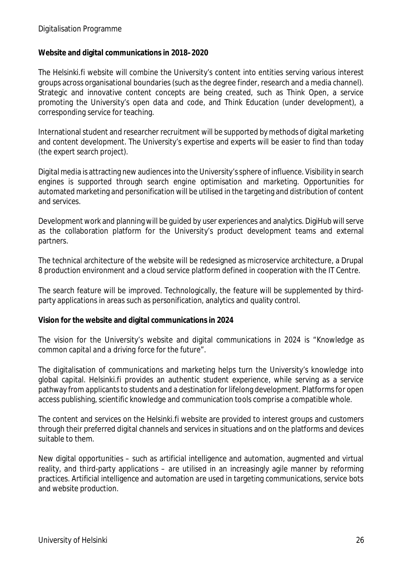#### Digitalisation Programme

**Website and digital communications in 2018–2020**

The Helsinki.fi website will combine the University's content into entities serving various interest groups across organisational boundaries (such as the degree finder, research and a media channel). Strategic and innovative content concepts are being created, such as Think Open, a service promoting the University's open data and code, and Think Education (under development), a corresponding service for teaching.

International student and researcher recruitment will be supported by methods of digital marketing and content development. The University's expertise and experts will be easier to find than today (the expert search project).

Digital media is attracting new audiences into the University's sphere of influence. Visibility in search engines is supported through search engine optimisation and marketing. Opportunities for automated marketing and personification will be utilised in the targeting and distribution of content and services.

Development work and planning will be guided by user experiences and analytics. DigiHub will serve as the collaboration platform for the University's product development teams and external partners.

The technical architecture of the website will be redesigned as microservice architecture, a Drupal 8 production environment and a cloud service platform defined in cooperation with the IT Centre.

The search feature will be improved. Technologically, the feature will be supplemented by thirdparty applications in areas such as personification, analytics and quality control.

**Vision for the website and digital communications in 2024**

The vision for the University's website and digital communications in 2024 is "*Knowledge as common capital and a driving force for the future*".

The digitalisation of communications and marketing helps turn the University's knowledge into global capital. Helsinki.fi provides an authentic student experience, while serving as a service pathway from applicants to students and a destination for lifelong development. Platforms for open access publishing, scientific knowledge and communication tools comprise a compatible whole.

The content and services on the Helsinki.fi website are provided to interest groups and customers through their preferred digital channels and services in situations and on the platforms and devices suitable to them.

New digital opportunities – such as artificial intelligence and automation, augmented and virtual reality, and third-party applications – are utilised in an increasingly agile manner by reforming practices. Artificial intelligence and automation are used in targeting communications, service bots and website production.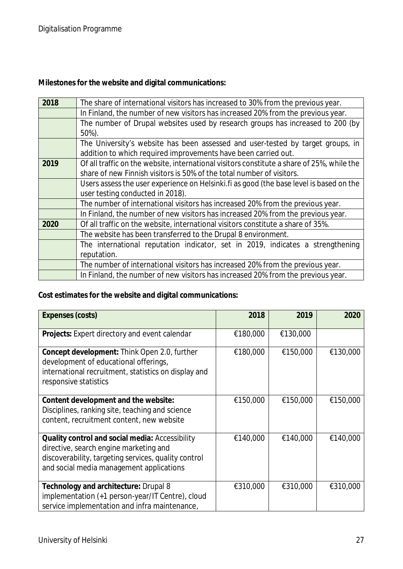**Milestones for the website and digital communications:**

| 2018 | The share of international visitors has increased to 30% from the previous year.           |  |  |  |  |  |  |
|------|--------------------------------------------------------------------------------------------|--|--|--|--|--|--|
|      | In Finland, the number of new visitors has increased 20% from the previous year.           |  |  |  |  |  |  |
|      | The number of Drupal websites used by research groups has increased to 200 (by             |  |  |  |  |  |  |
|      | 50%).                                                                                      |  |  |  |  |  |  |
|      | The University's website has been assessed and user-tested by target groups, in            |  |  |  |  |  |  |
|      | addition to which required improvements have been carried out.                             |  |  |  |  |  |  |
| 2019 | Of all traffic on the website, international visitors constitute a share of 25%, while the |  |  |  |  |  |  |
|      | share of new Finnish visitors is 50% of the total number of visitors.                      |  |  |  |  |  |  |
|      | Users assess the user experience on Helsinki. fi as good (the base level is based on the   |  |  |  |  |  |  |
|      | user testing conducted in 2018).                                                           |  |  |  |  |  |  |
|      | The number of international visitors has increased 20% from the previous year.             |  |  |  |  |  |  |
|      | In Finland, the number of new visitors has increased 20% from the previous year.           |  |  |  |  |  |  |
| 2020 | Of all traffic on the website, international visitors constitute a share of 35%.           |  |  |  |  |  |  |
|      | The website has been transferred to the Drupal 8 environment.                              |  |  |  |  |  |  |
|      | The international reputation indicator, set in 2019, indicates a strengthening             |  |  |  |  |  |  |
|      | reputation.                                                                                |  |  |  |  |  |  |
|      | The number of international visitors has increased 20% from the previous year.             |  |  |  |  |  |  |
|      | In Finland, the number of new visitors has increased 20% from the previous year.           |  |  |  |  |  |  |

**Cost estimates for the website and digital communications:**

| Expenses (costs)                                                                                                                                                                              | 2018     | 2019     | 2020     |
|-----------------------------------------------------------------------------------------------------------------------------------------------------------------------------------------------|----------|----------|----------|
| Projects: Expert directory and event calendar                                                                                                                                                 | €180,000 | €130,000 |          |
| Concept development: Think Open 2.0, further<br>development of educational offerings,<br>international recruitment, statistics on display and<br>responsive statistics                        | €180,000 | €150,000 | €130,000 |
| Content development and the website:<br>Disciplines, ranking site, teaching and science<br>content, recruitment content, new website                                                          | €150,000 | €150,000 | €150,000 |
| Quality control and social media: Accessibility<br>directive, search engine marketing and<br>discoverability, targeting services, quality control<br>and social media management applications | €140,000 | €140,000 | €140,000 |
| Technology and architecture: Drupal 8<br>implementation (+1 person-year/IT Centre), cloud<br>service implementation and infra maintenance,                                                    | €310,000 | €310,000 | €310,000 |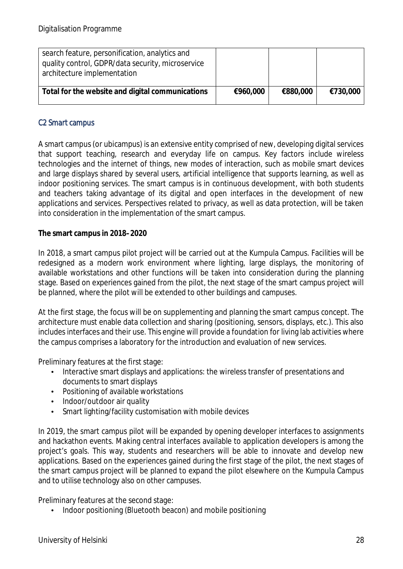| search feature, personification, analytics and<br>quality control, GDPR/data security, microservice<br>architecture implementation |          |          |          |
|------------------------------------------------------------------------------------------------------------------------------------|----------|----------|----------|
| Total for the website and digital communications                                                                                   | €960,000 | €880,000 | €730,000 |

#### C2 Smart campus

A smart campus (or ubicampus) is an extensive entity comprised of new, developing digital services that support teaching, research and everyday life on campus. Key factors include wireless technologies and the internet of things, new modes of interaction, such as mobile smart devices and large displays shared by several users, artificial intelligence that supports learning, as well as indoor positioning services. The smart campus is in continuous development, with both students and teachers taking advantage of its digital and open interfaces in the development of new applications and services. Perspectives related to privacy, as well as data protection, will be taken into consideration in the implementation of the smart campus.

**The smart campus in 2018–2020**

In 2018, a smart campus pilot project will be carried out at the Kumpula Campus. Facilities will be redesigned as a modern work environment where lighting, large displays, the monitoring of available workstations and other functions will be taken into consideration during the planning stage. Based on experiences gained from the pilot, the next stage of the smart campus project will be planned, where the pilot will be extended to other buildings and campuses.

At the first stage, the focus will be on supplementing and planning the smart campus concept. The architecture must enable data collection and sharing (positioning, sensors, displays, etc.). This also includes interfaces and their use. This engine will provide a foundation for living lab activities where the campus comprises a laboratory for the introduction and evaluation of new services.

Preliminary features at the first stage:

- Interactive smart displays and applications: the wireless transfer of presentations and documents to smart displays
- Positioning of available workstations  $\mathcal{L}^{\text{max}}$
- Indoor/outdoor air quality
- Smart lighting/facility customisation with mobile devices

In 2019, the smart campus pilot will be expanded by opening developer interfaces to assignments and hackathon events. Making central interfaces available to application developers is among the project's goals. This way, students and researchers will be able to innovate and develop new applications. Based on the experiences gained during the first stage of the pilot, the next stages of the smart campus project will be planned to expand the pilot elsewhere on the Kumpula Campus and to utilise technology also on other campuses.

Preliminary features at the second stage:

Indoor positioning (Bluetooth beacon) and mobile positioning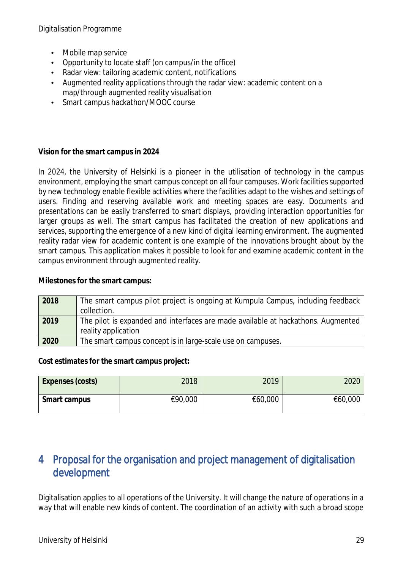Digitalisation Programme

- Mobile map service
- Opportunity to locate staff (on campus/in the office)
- Radar view: tailoring academic content, notifications
- Augmented reality applications through the radar view: academic content on a L. map/through augmented reality visualisation
- Smart campus hackathon/MOOC course  $\mathcal{L}^{\mathcal{L}}$

**Vision for the smart campus in 2024**

In 2024, the University of Helsinki is a pioneer in the utilisation of technology in the campus environment, employing the smart campus concept on all four campuses. Work facilities supported by new technology enable flexible activities where the facilities adapt to the wishes and settings of users. Finding and reserving available work and meeting spaces are easy. Documents and presentations can be easily transferred to smart displays, providing interaction opportunities for larger groups as well. The smart campus has facilitated the creation of new applications and services, supporting the emergence of a new kind of digital learning environment. The augmented reality radar view for academic content is one example of the innovations brought about by the smart campus. This application makes it possible to look for and examine academic content in the campus environment through augmented reality.

**Milestones for the smart campus:**

| 2018 | The smart campus pilot project is ongoing at Kumpula Campus, including feedback<br>collection.          |
|------|---------------------------------------------------------------------------------------------------------|
| 2019 | The pilot is expanded and interfaces are made available at hackathons. Augmented<br>reality application |
| 2020 | The smart campus concept is in large-scale use on campuses.                                             |

**Cost estimates for the smart campus project:**

| Expenses (costs) | 2018    | 2019    | 2020    |
|------------------|---------|---------|---------|
| Smart campus     | €90,000 | €60,000 | €60,000 |

## 4 Proposal for the organisation and project management of digitalisation development

Digitalisation applies to all operations of the University. It will change the nature of operations in a way that will enable new kinds of content. The coordination of an activity with such a broad scope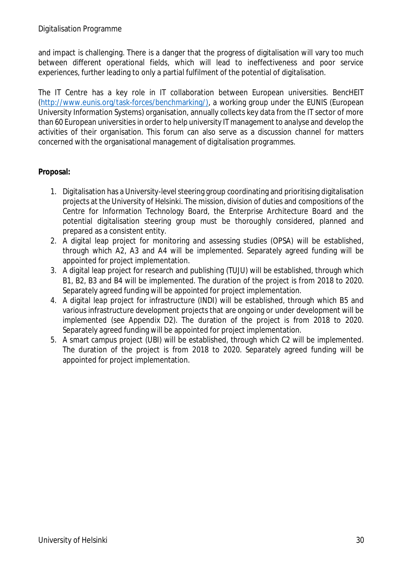and impact is challenging. There is a danger that the progress of digitalisation will vary too much between different operational fields, which will lead to ineffectiveness and poor service experiences, further leading to only a partial fulfilment of the potential of digitalisation.

The IT Centre has a key role in IT collaboration between European universities. BencHEIT (http://www.eunis.org/task-forces/benchmarking/), a working group under the EUNIS (European University Information Systems) organisation, annually collects key data from the IT sector of more than 60 European universities in order to help university IT management to analyse and develop the activities of their organisation. This forum can also serve as a discussion channel for matters concerned with the organisational management of digitalisation programmes.

#### **Proposal:**

- 1. Digitalisation has a University-level steering group coordinating and prioritising digitalisation projects at the University of Helsinki. The mission, division of duties and compositions of the Centre for Information Technology Board, the Enterprise Architecture Board and the potential digitalisation steering group must be thoroughly considered, planned and prepared as a consistent entity.
- 2. A digital leap project for monitoring and assessing studies (OPSA) will be established, through which A2, A3 and A4 will be implemented. Separately agreed funding will be appointed for project implementation.
- 3. A digital leap project for research and publishing (TUJU) will be established, through which B1, B2, B3 and B4 will be implemented. The duration of the project is from 2018 to 2020. Separately agreed funding will be appointed for project implementation.
- 4. A digital leap project for infrastructure (INDI) will be established, through which B5 and various infrastructure development projects that are ongoing or under development will be implemented (see Appendix D2). The duration of the project is from 2018 to 2020. Separately agreed funding will be appointed for project implementation.
- 5. A smart campus project (UBI) will be established, through which C2 will be implemented. The duration of the project is from 2018 to 2020. Separately agreed funding will be appointed for project implementation.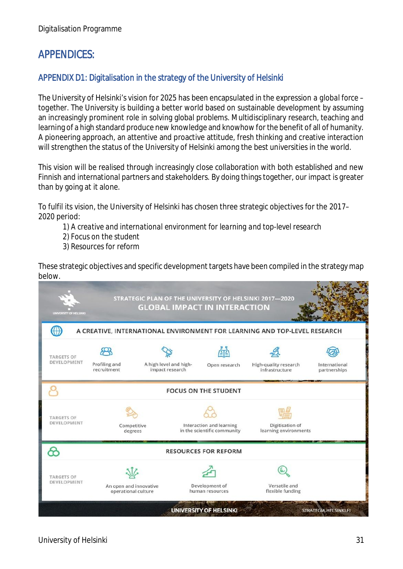## APPENDICES:

## APPENDIX D1: Digitalisation in the strategy of the University of Helsinki

The University of Helsinki's vision for 2025 has been encapsulated in the expression *a global force – together.* The University is building a better world based on sustainable development by assuming an increasingly prominent role in solving global problems. Multidisciplinary research, teaching and learning of a high standard produce new knowledge and knowhow for the benefit of all of humanity. A pioneering approach, an attentive and proactive attitude, fresh thinking and creative interaction will strengthen the status of the University of Helsinki among the best universities in the world.

This vision will be realised through increasingly close collaboration with both established and new Finnish and international partners and stakeholders. By doing things together, our impact is greater than by going at it alone.

To fulfil its vision, the University of Helsinki has chosen three strategic objectives for the 2017– 2020 period:

*1) A creative and international environment for learning and top-level research*

- *2) Focus on the student*
- *3) Resources for reform*

These strategic objectives and specific development targets have been compiled in the strategy map below.

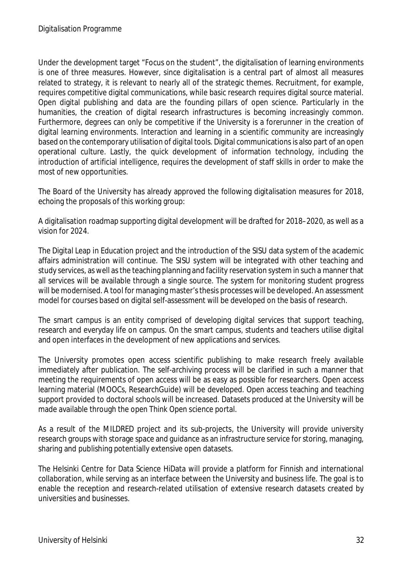Under the development target "Focus on the student", the digitalisation of learning environments is one of three measures. However, since digitalisation is a central part of almost all measures related to strategy, it is relevant to nearly all of the strategic themes. Recruitment, for example, requires competitive digital communications, while basic research requires digital source material. Open digital publishing and data are the founding pillars of open science. Particularly in the humanities, the creation of digital research infrastructures is becoming increasingly common. Furthermore, degrees can only be competitive if the University is a forerunner in the creation of digital learning environments. Interaction and learning in a scientific community are increasingly based on the contemporary utilisation of digital tools. Digital communications is also part of an open operational culture. Lastly, the quick development of information technology, including the introduction of artificial intelligence, requires the development of staff skills in order to make the most of new opportunities.

The Board of the University has already approved the following digitalisation measures for 2018, echoing the proposals of this working group:

A digitalisation roadmap supporting digital development will be drafted for 2018–2020, as well as a vision for 2024.

The Digital Leap in Education project and the introduction of the SISU data system of the academic affairs administration will continue. The SISU system will be integrated with other teaching and study services, as well as the teaching planning and facility reservation system in such a manner that all services will be available through a single source. The system for monitoring student progress will be modernised. A tool for managing master's thesis processes will be developed. An assessment model for courses based on digital self-assessment will be developed on the basis of research.

The smart campus is an entity comprised of developing digital services that support teaching, research and everyday life on campus. On the smart campus, students and teachers utilise digital and open interfaces in the development of new applications and services.

The University promotes open access scientific publishing to make research freely available immediately after publication. The self-archiving process will be clarified in such a manner that meeting the requirements of open access will be as easy as possible for researchers. Open access learning material (MOOCs, ResearchGuide) will be developed. Open access teaching and teaching support provided to doctoral schools will be increased. Datasets produced at the University will be made available through the open Think Open science portal.

As a result of the MILDRED project and its sub-projects, the University will provide university research groups with storage space and guidance as an infrastructure service for storing, managing, sharing and publishing potentially extensive open datasets.

The Helsinki Centre for Data Science HiData will provide a platform for Finnish and international collaboration, while serving as an interface between the University and business life. The goal is to enable the reception and research-related utilisation of extensive research datasets created by universities and businesses.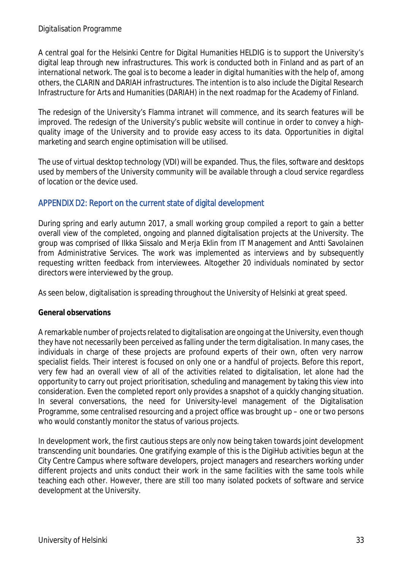A central goal for the Helsinki Centre for Digital Humanities HELDIG is to support the University's digital leap through new infrastructures. This work is conducted both in Finland and as part of an international network. The goal is to become a leader in digital humanities with the help of, among others, the CLARIN and DARIAH infrastructures. The intention is to also include the Digital Research Infrastructure for Arts and Humanities (DARIAH) in the next roadmap for the Academy of Finland.

The redesign of the University's Flamma intranet will commence, and its search features will be improved. The redesign of the University's public website will continue in order to convey a highquality image of the University and to provide easy access to its data. Opportunities in digital marketing and search engine optimisation will be utilised.

The use of virtual desktop technology (VDI) will be expanded. Thus, the files, software and desktops used by members of the University community will be available through a cloud service regardless of location or the device used.

### APPENDIX D2: Report on the current state of digital development

During spring and early autumn 2017, a small working group compiled a report to gain a better overall view of the completed, ongoing and planned digitalisation projects at the University. The group was comprised of Ilkka Siissalo and Merja Eklin from IT Management and Antti Savolainen from Administrative Services. The work was implemented as interviews and by subsequently requesting written feedback from interviewees. Altogether 20 individuals nominated by sector directors were interviewed by the group.

As seen below, digitalisation is spreading throughout the University of Helsinki at great speed.

### **General observations**

A remarkable number of projects related to digitalisation are ongoing at the University, even though they have not necessarily been perceived as falling under the term digitalisation. In many cases, the individuals in charge of these projects are profound experts of their own, often very narrow specialist fields. Their interest is focused on only one or a handful of projects. Before this report, very few had an overall view of all of the activities related to digitalisation, let alone had the opportunity to carry out project prioritisation, scheduling and management by taking this view into consideration. Even the completed report only provides a snapshot of a quickly changing situation. In several conversations, the need for University-level management of the Digitalisation Programme, some centralised resourcing and a project office was brought up – one or two persons who would constantly monitor the status of various projects.

In development work, the first cautious steps are only now being taken towards joint development transcending unit boundaries. One gratifying example of this is the DigiHub activities begun at the City Centre Campus where software developers, project managers and researchers working under different projects and units conduct their work in the same facilities with the same tools while teaching each other. However, there are still too many isolated pockets of software and service development at the University.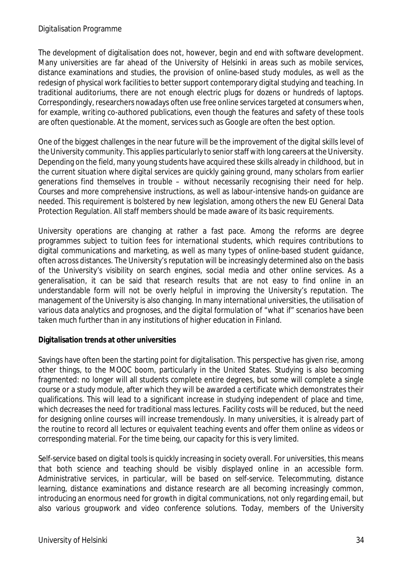The development of digitalisation does not, however, begin and end with software development. Many universities are far ahead of the University of Helsinki in areas such as mobile services, distance examinations and studies, the provision of online-based study modules, as well as the redesign of physical work facilities to better support contemporary digital studying and teaching. In traditional auditoriums, there are not enough electric plugs for dozens or hundreds of laptops. Correspondingly, researchers nowadays often use free online services targeted at consumers when, for example, writing co-authored publications, even though the features and safety of these tools are often questionable. At the moment, services such as Google are often the best option.

One of the biggest challenges in the near future will be the improvement of the digital skills level of the University community. This applies particularly to senior staff with long careers at the University. Depending on the field, many young students have acquired these skills already in childhood, but in the current situation where digital services are quickly gaining ground, many scholars from earlier generations find themselves in trouble – without necessarily recognising their need for help. Courses and more comprehensive instructions, as well as labour-intensive hands-on guidance are needed. This requirement is bolstered by new legislation, among others the new EU General Data Protection Regulation. All staff members should be made aware of its basic requirements.

University operations are changing at rather a fast pace. Among the reforms are degree programmes subject to tuition fees for international students, which requires contributions to digital communications and marketing, as well as many types of online-based student guidance, often across distances. The University's reputation will be increasingly determined also on the basis of the University's visibility on search engines, social media and other online services. As a generalisation, it can be said that research results that are not easy to find online in an understandable form will not be overly helpful in improving the University's reputation. The management of the University is also changing. In many international universities, the utilisation of various data analytics and prognoses, and the digital formulation of "what if" scenarios have been taken much further than in any institutions of higher education in Finland.

**Digitalisation trends at other universities**

Savings have often been the starting point for digitalisation. This perspective has given rise, among other things, to the MOOC boom, particularly in the United States. Studying is also becoming fragmented: no longer will all students complete entire degrees, but some will complete a single course or a study module, after which they will be awarded a certificate which demonstrates their qualifications. This will lead to a significant increase in studying independent of place and time, which decreases the need for traditional mass lectures. Facility costs will be reduced, but the need for designing online courses will increase tremendously. In many universities, it is already part of the routine to record all lectures or equivalent teaching events and offer them online as videos or corresponding material. For the time being, our capacity for this is very limited.

Self-service based on digital tools is quickly increasing in society overall. For universities, this means that both science and teaching should be visibly displayed online in an accessible form. Administrative services, in particular, will be based on self-service. Telecommuting, distance learning, distance examinations and distance research are all becoming increasingly common, introducing an enormous need for growth in digital communications, not only regarding email, but also various groupwork and video conference solutions. Today, members of the University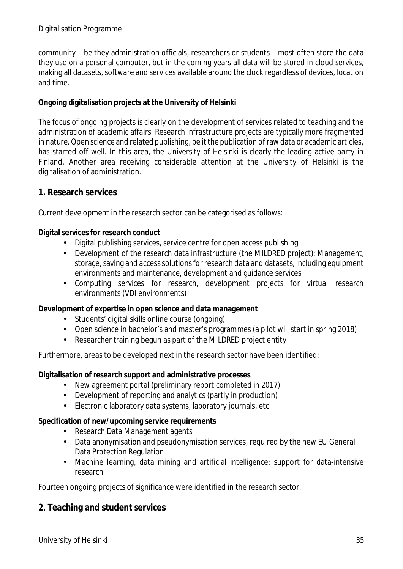community – be they administration officials, researchers or students – most often store the data they use on a personal computer, but in the coming years all data will be stored in cloud services, making all datasets, software and services available around the clock regardless of devices, location and time.

**Ongoing digitalisation projects at the University of Helsinki**

The focus of ongoing projects is clearly on the development of services related to teaching and the administration of academic affairs. Research infrastructure projects are typically more fragmented in nature. Open science and related publishing, be it the publication of raw data or academic articles, has started off well. In this area, the University of Helsinki is clearly the leading active party in Finland. Another area receiving considerable attention at the University of Helsinki is the digitalisation of administration.

**1. Research services**

Current development in the research sector can be categorised as follows:

**Digital services for research conduct**

- Digital publishing services, service centre for open access publishing
- $\mathbf{r}$ Development of the research data infrastructure (the MILDRED project): Management, storage, saving and access solutions for research data and datasets, including equipment environments and maintenance, development and guidance services
- $\mathcal{L}^{\text{max}}$ Computing services for research, development projects for virtual research environments (VDI environments)

**Development of expertise in open science and data management**

- Students' digital skills online course (ongoing)
- Open science in bachelor's and master's programmes (a pilot will start in spring 2018)  $\mathbf{r}$
- Researcher training begun as part of the MILDRED project entity

Furthermore, areas to be developed next in the research sector have been identified:

**Digitalisation of research support and administrative processes**

- New agreement portal (preliminary report completed in 2017)  $\mathbf{r}$
- Development of reporting and analytics (partly in production)  $\mathbf{r}$
- Electronic laboratory data systems, laboratory journals, etc.

**Specification of new/upcoming service requirements**

- Research Data Management agents
- Data anonymisation and pseudonymisation services, required by the new EU General  $\mathbf{r}$ Data Protection Regulation
- Machine learning, data mining and artificial intelligence; support for data-intensive research

Fourteen ongoing projects of significance were identified in the research sector.

**2. Teaching and student services**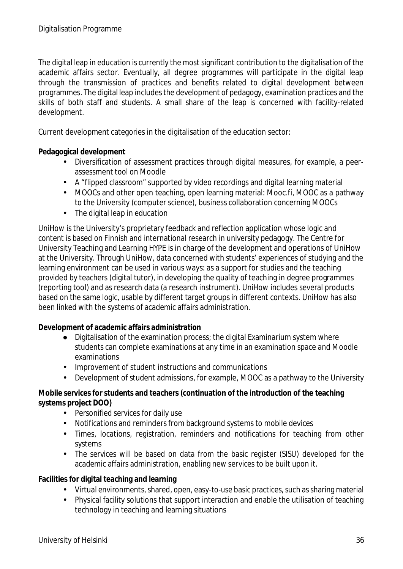The digital leap in education is currently the most significant contribution to the digitalisation of the academic affairs sector. Eventually, all degree programmes will participate in the digital leap through the transmission of practices and benefits related to digital development between programmes. The digital leap includes the development of pedagogy, examination practices and the skills of both staff and students. A small share of the leap is concerned with facility-related development.

Current development categories in the digitalisation of the education sector:

**Pedagogical development**

- Diversification of assessment practices through digital measures, for example, a peer- $\mathbf{r}$ assessment tool on Moodle
- A "flipped classroom" supported by video recordings and digital learning material
- MOOCs and other open teaching, open learning material: Mooc.fi, MOOC as a pathway to the University (computer science), business collaboration concerning MOOCs The digital leap in education  $\mathbf{r}$

UniHow is the University's proprietary feedback and reflection application whose logic and content is based on Finnish and international research in university pedagogy. The Centre for University Teaching and Learning HYPE is in charge of the development and operations of UniHow at the University. Through UniHow, data concerned with students' experiences of studying and the learning environment can be used in various ways: as a support for studies and the teaching provided by teachers (digital tutor), in developing the quality of teaching in degree programmes (reporting tool) and as research data (a research instrument). UniHow includes several products based on the same logic, usable by different target groups in different contexts. UniHow has also been linked with the systems of academic affairs administration.

**Development of academic affairs administration**

- Digitalisation of the examination process; the digital Examinarium system where students can complete examinations at any time in an examination space and Moodle examinations
- Improvement of student instructions and communications  $\mathbf{r}^{\mathrm{max}}$
- Development of student admissions, for example, MOOC as a pathway to the University

**Mobile services for students and teachers (continuation of the introduction of the teaching systems project DOO)**

- Personified services for daily use  $\mathcal{L}^{\text{max}}$
- Notifications and reminders from background systems to mobile devices
- Times, locations, registration, reminders and notifications for teaching from other  $\mathbf{r}$ systems
- The services will be based on data from the basic register (SISU) developed for the academic affairs administration, enabling new services to be built upon it.

**Facilities for digital teaching and learning**

- Virtual environments, shared, open, easy-to-use basic practices, such as sharing material
- Physical facility solutions that support interaction and enable the utilisation of teaching technology in teaching and learning situations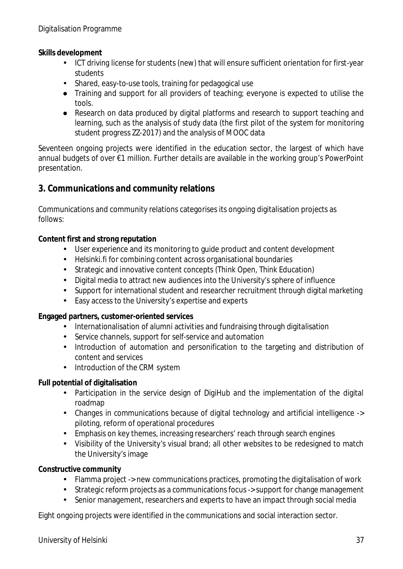**Skills development**

- ICT driving license for students (new) that will ensure sufficient orientation for first-year students
- Shared, easy-to-use tools, training for pedagogical use
- Training and support for all providers of teaching; everyone is expected to utilise the tools.
- Research on data produced by digital platforms and research to support teaching and learning, such as the analysis of study data (the first pilot of the system for monitoring student progress ZZ-2017) and the analysis of MOOC data

Seventeen ongoing projects were identified in the education sector, the largest of which have annual budgets of over €1 million. Further details are available in the working group's PowerPoint presentation.

## **3. Communications and community relations**

Communications and community relations categorises its ongoing digitalisation projects as follows:

**Content first and strong reputation**

- User experience and its monitoring to guide product and content development
- Helsinki.fi for combining content across organisational boundaries  $\mathbf{r}$
- Strategic and innovative content concepts (Think Open, Think Education)  $\mathcal{L}^{\text{max}}$
- Digital media to attract new audiences into the University's sphere of influence
- Support for international student and researcher recruitment through digital marketing
- Easy access to the University's expertise and experts  $\mathbf{r}$

**Engaged partners, customer-oriented services**

- Internationalisation of alumni activities and fundraising through digitalisation
- Service channels, support for self-service and automation  $\mathbb{R}^{n-1}$
- Introduction of automation and personification to the targeting and distribution of  $\mathbf{r}$ content and services
- Introduction of the CRM system  $\mathbf{r}$

**Full potential of digitalisation**

- Participation in the service design of DigiHub and the implementation of the digital  $\mathbf{r}^{\mathrm{max}}$ roadmap
- $\mathbf{r}^{(1)}$ Changes in communications because of digital technology and artificial intelligence -> piloting, reform of operational procedures
- Emphasis on key themes, increasing researchers' reach through search engines  $\mathbf{r}$
- Visibility of the University's visual brand; all other websites to be redesigned to match the University's image

**Constructive community**

- Flamma project -> new communications practices, promoting the digitalisation of work  $\mathbf{r}$
- $\mathbf{r}^{\left(1\right)}$ Strategic reform projects as a communications focus -> support for change management
- Senior management, researchers and experts to have an impact through social media ä,

Eight ongoing projects were identified in the communications and social interaction sector.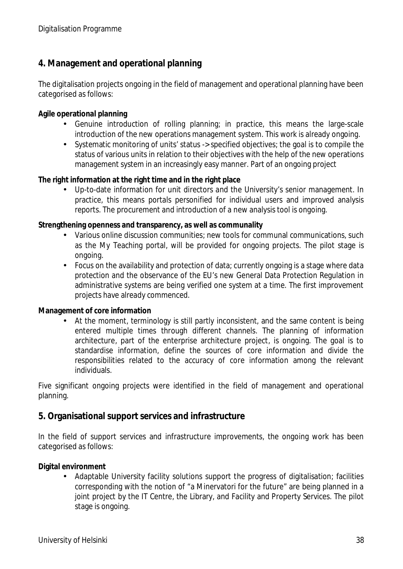## **4. Management and operational planning**

The digitalisation projects ongoing in the field of management and operational planning have been categorised as follows:

**Agile operational planning**

- Genuine introduction of rolling planning; in practice, this means the large-scale introduction of the new operations management system. This work is already ongoing.
- Systematic monitoring of units' status -> specified objectives; the goal is to compile the status of various units in relation to their objectives with the help of the new operations management system in an increasingly easy manner. Part of an ongoing project

**The right information at the right time and in the right place**

Up-to-date information for unit directors and the University's senior management. In practice, this means portals personified for individual users and improved analysis reports. The procurement and introduction of a new analysis tool is ongoing.

**Strengthening openness and transparency, as well as communality**

- Various online discussion communities; new tools for communal communications, such as the My Teaching portal, will be provided for ongoing projects. The pilot stage is ongoing.
- Focus on the availability and protection of data; currently ongoing is a stage where data protection and the observance of the EU's new General Data Protection Regulation in administrative systems are being verified one system at a time. The first improvement projects have already commenced.

**Management of core information**

At the moment, terminology is still partly inconsistent, and the same content is being entered multiple times through different channels. The planning of information architecture, part of the enterprise architecture project, is ongoing. The goal is to standardise information, define the sources of core information and divide the responsibilities related to the accuracy of core information among the relevant individuals.

Five significant ongoing projects were identified in the field of management and operational planning.

#### **5. Organisational support services and infrastructure**

In the field of support services and infrastructure improvements, the ongoing work has been categorised as follows:

**Digital environment**

Adaptable University facility solutions support the progress of digitalisation; facilities corresponding with the notion of "a Minervatori for the future" are being planned in a joint project by the IT Centre, the Library, and Facility and Property Services. The pilot stage is ongoing.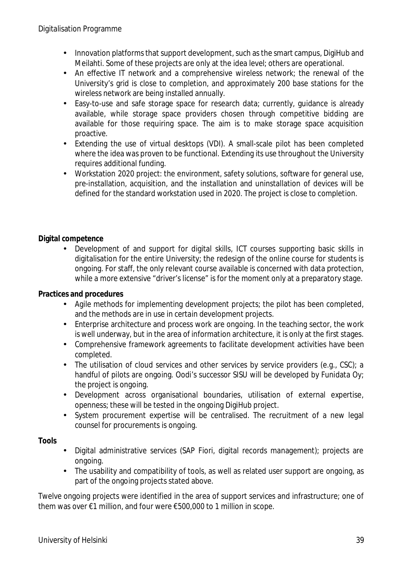- Innovation platforms that support development, such as the smart campus, DigiHub and Meilahti. Some of these projects are only at the idea level; others are operational.
- An effective IT network and a comprehensive wireless network; the renewal of the  $\mathbf{r}$  . University's grid is close to completion, and approximately 200 base stations for the wireless network are being installed annually.
- $\mathbf{r}$ Easy-to-use and safe storage space for research data; currently, guidance is already available, while storage space providers chosen through competitive bidding are available for those requiring space. The aim is to make storage space acquisition proactive.
- Extending the use of virtual desktops (VDI). A small-scale pilot has been completed  $\mathcal{L}^{\pm}$ where the idea was proven to be functional. Extending its use throughout the University requires additional funding.
- Workstation 2020 project: the environment, safety solutions, software for general use, pre-installation, acquisition, and the installation and uninstallation of devices will be defined for the standard workstation used in 2020. The project is close to completion.

### **Digital competence**

Development of and support for digital skills, ICT courses supporting basic skills in digitalisation for the entire University; the redesign of the online course for students is ongoing. For staff, the only relevant course available is concerned with data protection, while a more extensive "driver's license" is for the moment only at a preparatory stage.

**Practices and procedures**

- Agile methods for implementing development projects; the pilot has been completed, and the methods are in use in certain development projects.
- Enterprise architecture and process work are ongoing. In the teaching sector, the work  $\mathbf{r}$ is well underway, but in the area of information architecture, it is only at the first stages.
- Comprehensive framework agreements to facilitate development activities have been  $\mathbf{r}^{(1)}$ completed.
- The utilisation of cloud services and other services by service providers (e.g., CSC); a  $\mathcal{L}^{\pm}$ handful of pilots are ongoing. Oodi's successor SISU will be developed by Funidata Oy; the project is ongoing.
- Development across organisational boundaries, utilisation of external expertise,  $\mathcal{L}^{\text{max}}$ openness; these will be tested in the ongoing DigiHub project.
- System procurement expertise will be centralised. The recruitment of a new legal  $\mathbf{r}^{(1)}$ counsel for procurements is ongoing.

**Tools**

- Digital administrative services (SAP Fiori, digital records management); projects are  $\mathcal{L}^{\text{max}}$ ongoing.
- The usability and compatibility of tools, as well as related user support are ongoing, as  $\mathbf{r}$ part of the ongoing projects stated above.

Twelve ongoing projects were identified in the area of support services and infrastructure; one of them was over €1 million, and four were €500,000 to 1 million in scope.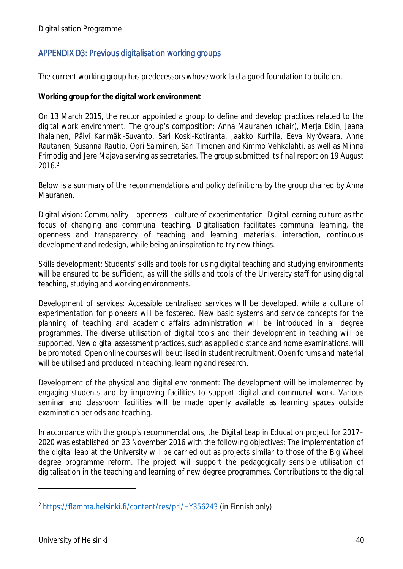## APPENDIX D3: Previous digitalisation working groups

The current working group has predecessors whose work laid a good foundation to build on.

**Working group for the digital work environment**

On 13 March 2015, the rector appointed a group to define and develop practices related to the digital work environment. The group's composition: Anna Mauranen (chair), Merja Eklin, Jaana Ihalainen, Päivi Karimäki-Suvanto, Sari Koski-Kotiranta, Jaakko Kurhila, Eeva Nyrövaara, Anne Rautanen, Susanna Rautio, Opri Salminen, Sari Timonen and Kimmo Vehkalahti, as well as Minna Frimodig and Jere Majava serving as secretaries. The group submitted its final report on 19 August 2016.<sup>2</sup>

Below is a summary of the recommendations and policy definitions by the group chaired by Anna Mauranen.

Digital vision: *Communality – openness – culture of experimentation.* Digital learning culture as the focus of changing and communal teaching. Digitalisation facilitates communal learning, the openness and transparency of teaching and learning materials, interaction, continuous development and redesign, while being an inspiration to try new things.

Skills development: Students' skills and tools for using digital teaching and studying environments will be ensured to be sufficient, as will the skills and tools of the University staff for using digital teaching, studying and working environments.

Development of services: Accessible centralised services will be developed, while a culture of experimentation for pioneers will be fostered. New basic systems and service concepts for the planning of teaching and academic affairs administration will be introduced in all degree programmes. The diverse utilisation of digital tools and their development in teaching will be supported. New digital assessment practices, such as applied distance and home examinations, will be promoted. Open online courses will be utilised in student recruitment. Open forums and material will be utilised and produced in teaching, learning and research.

Development of the physical and digital environment: The development will be implemented by engaging students and by improving facilities to support digital and communal work. Various seminar and classroom facilities will be made openly available as learning spaces outside examination periods and teaching.

In accordance with the group's recommendations, the Digital Leap in Education project for 2017– 2020 was established on 23 November 2016 with the following objectives: The implementation of the digital leap at the University will be carried out as projects similar to those of the Big Wheel degree programme reform. The project will support the pedagogically sensible utilisation of digitalisation in the teaching and learning of new degree programmes. Contributions to the digital

<sup>2</sup> https://flamma.helsinki.fi/content/res/pri/HY356243 (in Finnish only)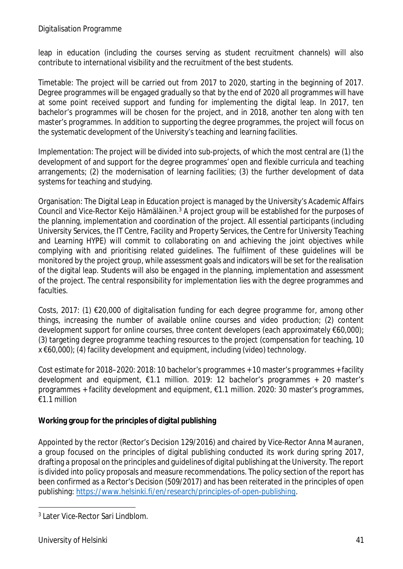#### Digitalisation Programme

leap in education (including the courses serving as student recruitment channels) will also contribute to international visibility and the recruitment of the best students.

Timetable: The project will be carried out from 2017 to 2020, starting in the beginning of 2017. Degree programmes will be engaged gradually so that by the end of 2020 all programmes will have at some point received support and funding for implementing the digital leap. In 2017, ten bachelor's programmes will be chosen for the project, and in 2018, another ten along with ten master's programmes. In addition to supporting the degree programmes, the project will focus on the systematic development of the University's teaching and learning facilities.

Implementation: The project will be divided into sub-projects, of which the most central are (1) the development of and support for the degree programmes' open and flexible curricula and teaching arrangements; (2) the modernisation of learning facilities; (3) the further development of data systems for teaching and studying.

Organisation: The Digital Leap in Education project is managed by the University's Academic Affairs Council and Vice-Rector Keijo Hämäläinen.<sup>3</sup> A project group will be established for the purposes of the planning, implementation and coordination of the project. All essential participants (including University Services, the IT Centre, Facility and Property Services, the Centre for University Teaching and Learning HYPE) will commit to collaborating on and achieving the joint objectives while complying with and prioritising related guidelines. The fulfilment of these guidelines will be monitored by the project group, while assessment goals and indicators will be set for the realisation of the digital leap. Students will also be engaged in the planning, implementation and assessment of the project. The central responsibility for implementation lies with the degree programmes and faculties.

Costs, 2017: (1) €20,000 of digitalisation funding for each degree programme for, among other things, increasing the number of available online courses and video production; (2) content development support for online courses, three content developers (each approximately €60,000); (3) targeting degree programme teaching resources to the project (compensation for teaching, 10 x €60,000); (4) facility development and equipment, including (video) technology.

Cost estimate for 2018–2020: 2018: 10 bachelor's programmes + 10 master's programmes + facility development and equipment, €1.1 million. 2019: 12 bachelor's programmes + 20 master's programmes + facility development and equipment, €1.1 million. 2020: 30 master's programmes, €1.1 million

**Working group for the principles of digital publishing**

Appointed by the rector (Rector's Decision 129/2016) and chaired by Vice-Rector Anna Mauranen, a group focused on the principles of digital publishing conducted its work during spring 2017, drafting a proposal on the principles and guidelines of digital publishing at the University. The report is divided into policy proposals and measure recommendations. The policy section of the report has been confirmed as a Rector's Decision (509/2017) and has been reiterated in the principles of open publishing: https://www.helsinki.fi/en/research/principles-of-open-publishing.

<sup>3</sup> Later Vice-Rector Sari Lindblom.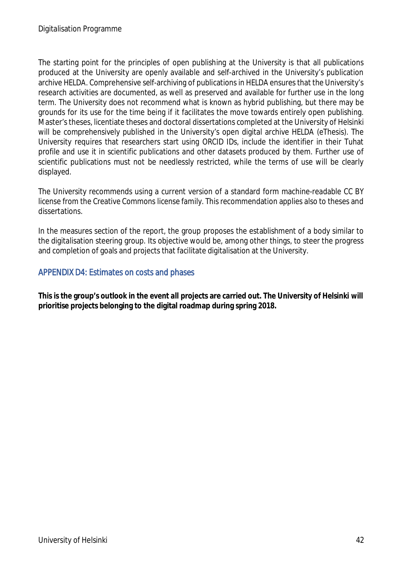The starting point for the principles of open publishing at the University is that all publications produced at the University are openly available and self-archived in the University's publication archive HELDA. Comprehensive self-archiving of publications in HELDA ensures that the University's research activities are documented, as well as preserved and available for further use in the long term. The University does not recommend what is known as hybrid publishing, but there may be grounds for its use for the time being if it facilitates the move towards entirely open publishing. Master's theses, licentiate theses and doctoral dissertations completed at the University of Helsinki will be comprehensively published in the University's open digital archive HELDA (eThesis). The University requires that researchers start using ORCID IDs, include the identifier in their Tuhat profile and use it in scientific publications and other datasets produced by them. Further use of scientific publications must not be needlessly restricted, while the terms of use will be clearly displayed.

The University recommends using a current version of a standard form machine-readable CC BY license from the Creative Commons license family. This recommendation applies also to theses and dissertations.

In the measures section of the report, the group proposes the establishment of a body similar to the digitalisation steering group. Its objective would be, among other things, to steer the progress and completion of goals and projects that facilitate digitalisation at the University.

### APPENDIX D4: Estimates on costs and phases

**This is the group's outlook in the event all projects are carried out. The University of Helsinki will prioritise projects belonging to the digital roadmap during spring 2018.**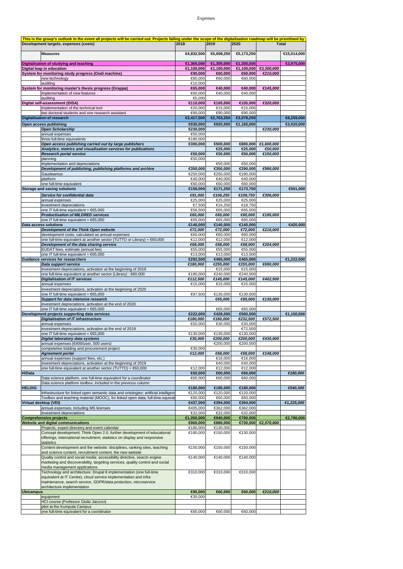#### Expenses

|                  | This is the group's outlook in the event all projects will be carried out. Projects falling under the scope of the digitalisation roadmap will be prioritised by |                     |                     |                      |                       |              |
|------------------|------------------------------------------------------------------------------------------------------------------------------------------------------------------|---------------------|---------------------|----------------------|-----------------------|--------------|
|                  | Development targets, expenses (costs)                                                                                                                            | 2018                | 2019                | 2020                 |                       | <b>Total</b> |
|                  |                                                                                                                                                                  |                     |                     |                      |                       |              |
|                  | <b>Measures</b>                                                                                                                                                  | €4,832,500          | €5,008,250          | €5,173,250           |                       | €15,014,000  |
|                  |                                                                                                                                                                  | €1,365,000          | €1,305,000          | €1,305,000           |                       | €3,975,000   |
|                  | Digitalisation of studying and teaching<br>Digital leap in education                                                                                             | €1,100,000          | €1,100,000          |                      | €1,100,000 €3,300,000 |              |
|                  | System for monitoring study progress (Oodi machine)                                                                                                              | €90.000             | €60.000             | €60,000              | €210,000              |              |
|                  | new technology                                                                                                                                                   | €80.000             | €60,000             | €60,000              |                       |              |
|                  | auditing                                                                                                                                                         | €10,000             |                     |                      |                       |              |
|                  | System for monitoring master's thesis progress (Grappa)                                                                                                          | €65,000             | €40,000             | €40,000              | €145,000              |              |
|                  | implementation of new features                                                                                                                                   | €60,000             | €40,000             | €40,000              |                       |              |
|                  | auditing                                                                                                                                                         | €5,000              |                     |                      |                       |              |
|                  | Digital self-assessment (DISA)                                                                                                                                   | €110,000            | €105,000            | €105,000             | €320,000              |              |
|                  | implementation of the technical tool                                                                                                                             | €20,000             | €15,000             | €15,000              |                       |              |
|                  | two doctoral students and one research assistant                                                                                                                 | €90,000             | €90.000             | €90,000              |                       |              |
|                  | <b>Digitalisation of research</b>                                                                                                                                | €2,417,500          | €2,763,250          | €3,078,250           |                       | €8,259,000   |
|                  | Open access publishing                                                                                                                                           | €930,000            | €925.000            | €1,165,000           |                       | €3,020,000   |
|                  | <b>Open Scholarship</b>                                                                                                                                          | €230,000            |                     |                      | €230,000              |              |
|                  | annual expenses                                                                                                                                                  | €50,000             |                     |                      |                       |              |
|                  | three full-time equivalents                                                                                                                                      | €180,000            | €500,000            | $-800,000$           | €1,600,000            |              |
|                  | Open access publishing carried out by large publishers<br>Analytics, metrics and visualisation services for publications                                         | €300,000            | €25,000             | €25,000              | €50,000               |              |
|                  | <b>Research portal service</b>                                                                                                                                   | €50,000             | €50,000             | €50,000              | €150,000              |              |
|                  | planning                                                                                                                                                         | €50,000             |                     |                      |                       |              |
|                  | implementation and depreciations                                                                                                                                 |                     | €50,000             | €50,000              |                       |              |
|                  | Development of publishing, publishing platforms and archive                                                                                                      | €350,000            | €350,000            | €290,000             | €990,000              |              |
|                  | Gaudeamus                                                                                                                                                        | €250,000            | €250,000            | €190,000             |                       |              |
|                  | platform                                                                                                                                                         | €40.000             | €40,000             | €40,000              |                       |              |
|                  | one full-time equivalent                                                                                                                                         | €60.000             | €60,000             | €60,000              |                       |              |
|                  | Storage and saving solutions                                                                                                                                     | €156,000            | €171,250            | €173,750             |                       | €501,000     |
|                  | Service for confidential data                                                                                                                                    | €91,000             | €106,250            | €108,750             | €306,000              |              |
|                  | annual expenses                                                                                                                                                  | €25,000             | €25,000             | €25,000              |                       |              |
|                  | investment depreciations                                                                                                                                         | €7,500              | €16,250             | €18,750              |                       |              |
|                  | one IT full-time equivalent = $65,000$                                                                                                                           | €58,500             | €65,000             | €65,000              |                       |              |
|                  | <b>Productisation of MILDRED services</b>                                                                                                                        | €65,000             | €65,000             | €65,000              | €195,000              |              |
|                  | one IT full-time equivalent = €65,000                                                                                                                            | €65.000             | €65,000             | €65,000              |                       |              |
|                  | <b>Data access solutions</b>                                                                                                                                     | €140,000            | €140,000            | €140,000             |                       | €420,000     |
|                  | Development of the Think Open website                                                                                                                            | €72,000<br>€60,000  | €72,000<br>€60,000  | €72,000<br>€60,000   | €216,000              |              |
|                  | development costs, calculated as annual expenses<br>one full-time equivalent at another sector (TUTTO or Library) = €60,000                                      | €12,000             | €12,000             | €12,000              |                       |              |
|                  | Development of the data sharing service                                                                                                                          | €68,000             | €68,000             | €68,000              | €204,000              |              |
|                  | EUDAT fees, estimate (annual fee)                                                                                                                                | €55,000             | €55,000             | €55,000              |                       |              |
|                  | one IT full-time equivalent = €65,000                                                                                                                            | €13,000             | €13,000             | €13,000              |                       |              |
|                  | <b>Guidance services for researchers</b>                                                                                                                         | €292,500            | €465,000            | €465,000             |                       | €1,222,500   |
|                  | Data support service                                                                                                                                             | €180,000            | €255,000            | €255,000             | €690,000              |              |
|                  | investment depreciations, activation at the beginning of 2019                                                                                                    |                     | €15,000             | €15,000              |                       |              |
|                  | one full-time equivalent at another sector (Library) : €60,000                                                                                                   | €180,000            | €240,000            | €240,000             |                       |              |
|                  | <b>Digitalisation of IT services</b>                                                                                                                             | €112,500            | €145,000            | €145,000             | €402,500              |              |
|                  | annual expenses                                                                                                                                                  | €15,000             | €15,000             | €15,000              |                       |              |
|                  | investment depreciations, activation at the beginning of 2020                                                                                                    |                     |                     |                      |                       |              |
|                  | one IT full-time equivalent = €65,000                                                                                                                            | €97,500             | €130,000            | €130,000             |                       |              |
|                  | Support for data intensive research<br>investment depreciations, activation at the end of 2020                                                                   |                     | €65,000             | €65,000              | €130,000              |              |
|                  | one IT full-time equivalent = €65,000                                                                                                                            |                     | €65,000             | €65,000              |                       |              |
|                  | Development projects supporting data services                                                                                                                    | €222,000            | €428,000            | €500,500             |                       | €1,150,500   |
|                  | <b>Digitalisation of IT infrastructure</b>                                                                                                                       | €180,000            | €160,000            | €232,500             | €572,500              |              |
|                  | annual expenses                                                                                                                                                  | €50,000             | €30,000             | €30,000              |                       |              |
|                  | investment depreciations, activation at the end of 2019                                                                                                          |                     |                     | €72,500              |                       |              |
|                  | one IT full-time equivalent = €65,000                                                                                                                            | €130,000            | €130,000            | €130,000             |                       |              |
|                  | Digital laboratory data systems                                                                                                                                  | €30.000             | €200.000            | €200.000             | €430.000              |              |
|                  | annual expenses (€400/user, 500 users)                                                                                                                           |                     | €200,000            | €200,000             |                       |              |
|                  | competetive bidding and procurement project                                                                                                                      | €30,000             |                     |                      |                       |              |
|                  | <b>Agreement portal</b><br>annual expenses (support fees, etc.)                                                                                                  | €12,000             | €68,000             | €68,000              | €148,000              |              |
|                  | investment depreciations, activation at the beginning of 2019                                                                                                    |                     | €16,000<br>€40,000  | €16,000<br>€40,000   |                       |              |
|                  | one full-time equivalent at another sector (TUTTO) = €60,000                                                                                                     | €12,000             | €12,000             | €12,000              |                       |              |
| <b>HiData</b>    |                                                                                                                                                                  | €60,000             | €60,000             | €60,000              |                       | €180,000     |
|                  | Data science platform, one full-time equivalent for a coordinator                                                                                                | €60,000             | €60,000             | €60,000              |                       |              |
|                  | Data science platform toolbox, included in the previous column                                                                                                   |                     |                     |                      |                       |              |
| <b>HELDIG</b>    |                                                                                                                                                                  | €180,000            | €180,000            | €180,000             |                       | €540.000     |
|                  | Infrastructure for linked open semantic data and ontologies: artificial intelligeno                                                                              | €120,000            | €120,000            | €120,000             |                       |              |
|                  | Toolbox and teaching material (MOOC), for linked open data: full-time equival                                                                                    | €60,000             | €60,000             | €60,000              |                       |              |
|                  | <b>Virtual desktop (VDI)</b>                                                                                                                                     | €437,000            | €394,000            | €394,000             |                       | €1,225,000   |
|                  | annual expenses, including MS licenses                                                                                                                           | €405,000<br>€32.000 | €362,000            | €362,000             |                       |              |
|                  | investment depreciations                                                                                                                                         | €1,050,000          | €32,000<br>€940,000 | €32,000              |                       | €2,780,000   |
|                  | <b>Comprehensive projects</b><br><b>Website and digital communications</b>                                                                                       | €960,000            | €880,000            | €790,000<br>€730,000 | €2,570,000            |              |
|                  | Projects: expert directory and event calendar                                                                                                                    | €180,000            | €130,000            |                      |                       |              |
|                  | Concept development: Think Open 2.0, further development of educational                                                                                          | €180,000            | €150,000            | €130,000             |                       |              |
|                  | offerings, international recruitment, statistics on display and responsive                                                                                       |                     |                     |                      |                       |              |
|                  | statistics                                                                                                                                                       |                     |                     |                      |                       |              |
|                  | Content development and the website: disciplines, ranking sites, teaching                                                                                        | €150,000            | €150,000            | €150,000             |                       |              |
|                  | and science content, recruitment content, the new website                                                                                                        |                     |                     |                      |                       |              |
|                  | Quality control and social media: accessibility directive, search engine                                                                                         | €140,000            | €140,000            | €140,000             |                       |              |
|                  | marketing and discoverability, targeting services, quality control and social                                                                                    |                     |                     |                      |                       |              |
|                  | media management applications                                                                                                                                    |                     |                     |                      |                       |              |
|                  | Technology and architecture: Drupal 8 implementation (one full-time                                                                                              | €310,000            | €310,000            | €310,000             |                       |              |
|                  | equivalent at IT Centre), cloud service implementation and infra<br>maintenance, search service, GDPR/data protection, microservice                              |                     |                     |                      |                       |              |
|                  | architecture implementation                                                                                                                                      |                     |                     |                      |                       |              |
| <b>Ubicampus</b> |                                                                                                                                                                  | €90,000             | €60,000             | $\overline{60,000}$  | €210,000              |              |
|                  | equipment                                                                                                                                                        | €30,000             |                     |                      |                       |              |
|                  | <b>HCI course (Professor Giulio Jacucci)</b>                                                                                                                     |                     |                     |                      |                       |              |
|                  | pilot at the Kumpula Campus                                                                                                                                      |                     |                     |                      |                       |              |
|                  | one full-time equivalent for a coordinator                                                                                                                       | €60,000             | €60,000             | €60,000              |                       |              |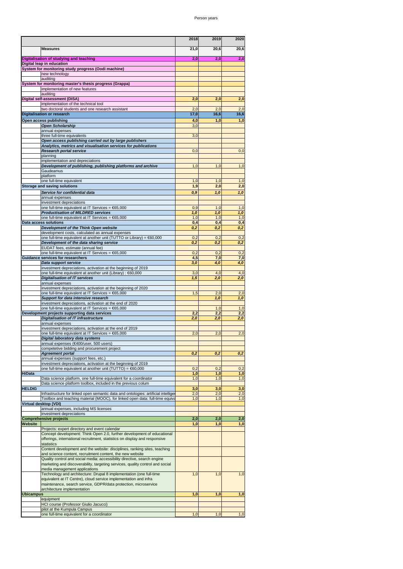|                  |                                                                                                                                        | 2018       | 2019       | 2020       |
|------------------|----------------------------------------------------------------------------------------------------------------------------------------|------------|------------|------------|
|                  | <b>Measures</b>                                                                                                                        | 21,0       | 20,6       | 20,6       |
|                  |                                                                                                                                        |            |            |            |
|                  | Digitalisation of studying and teaching                                                                                                | 2,0        | 2,0        | 2,0        |
|                  | Digital leap in education<br>System for monitoring study progress (Oodi machine)                                                       |            |            |            |
|                  | new technology                                                                                                                         |            |            |            |
|                  | auditing                                                                                                                               |            |            |            |
|                  | System for monitoring master's thesis progress (Grappa)<br>implementation of new features                                              |            |            |            |
|                  | auditing                                                                                                                               |            |            |            |
|                  | Digital self-assessment (DISA)                                                                                                         | 2,0        | 2,0        | 2,0        |
|                  | implementation of the technical tool<br>two doctoral students and one research assistant                                               | 2,0        | 2,0        | 2,0        |
|                  | <b>Digitalisation or research</b>                                                                                                      | 17,0       | 16,6       | 16,6       |
|                  | Open access publishing                                                                                                                 | 4,0        | 1,0        | 1,0        |
|                  | <b>Open Scholarship</b>                                                                                                                | 3,0        |            |            |
|                  | annual expenses                                                                                                                        |            |            |            |
|                  | three full-time equivalents<br>Open access publishing carried out by large publishers                                                  | 3,0        |            |            |
|                  | Analytics, metrics and visualisation services for publications                                                                         |            |            |            |
|                  | Research portal service                                                                                                                | 0,0        |            | 0,0        |
|                  | planning<br>implementation and depreciations                                                                                           |            |            |            |
|                  | Development of publishing, publishing platforms and archive                                                                            | 1,0        | 1,0        | 1,0        |
|                  | Gaudeamus                                                                                                                              |            |            |            |
|                  | platform<br>one full-time equivalent                                                                                                   | 1,0        | 1,0        | 1,0        |
|                  | <b>Storage and saving solutions</b>                                                                                                    | 1,9        | 2,0        | 2,0        |
|                  | Service for confidential data                                                                                                          | 0,9        | 1,0        | 1,0        |
|                  | annual expenses                                                                                                                        |            |            |            |
|                  | investment depreciations<br>one full-time equivalent at IT Services = €65,000                                                          | 0,9        | 1,0        | 1,0        |
|                  | <b>Productisation of MILDRED services</b>                                                                                              | 1,0        | 1.0        | 1,0        |
|                  | one full-time equivalent at IT Services = €65,000                                                                                      | 1,0        | 1,0        | 1,0        |
|                  | Data access solutions                                                                                                                  | 0,4        | 0,4        | 0,4        |
|                  | Development of the Think Open website<br>development costs, calculated as annual expenses                                              | 0,2        | 0,2        | 0,2        |
|                  | one full-time equivalent at another unit (TUTTO or Library) = €60,000                                                                  | 0,2        | 0,2        | 0,2        |
|                  | Development of the data sharing service<br>EUDAT fees, estimate (annual fee)                                                           | 0,2        | 0,2        | 0,2        |
|                  | one full-time equivalent at IT Services = €65,000                                                                                      | 0,2        | 0,2        | 0,2        |
|                  | <b>Guidance services for researchers</b>                                                                                               | 4,5        | 7,0        | 7,0        |
|                  | Data support service                                                                                                                   | 3,0        | 4,0        | 4,0        |
|                  | investment depreciations, activation at the beginning of 2019<br>one full-time equivalent at another unit (Library) : €60,000          | 3,0        | 4,0        | 4,0        |
|                  | <b>Digitalisation of IT services</b>                                                                                                   | 1,5        | 2,0        | 2,0        |
|                  | annual expenses                                                                                                                        |            |            |            |
|                  | investment depreciations, activation at the beginning of 2020<br>one full-time equivalent at IT Services = €65,000                     | 1,5        | 2,0        | 2,0        |
|                  | Support for data intensive research                                                                                                    |            | 1,0        | 1,0        |
|                  | investment depreciations, activation at the end of 2020                                                                                |            | 1,0        | 1,0        |
|                  | one full-time equivalent at IT Services = €65,000<br>Development projects supporting data services                                     | 2,2        | 2,2        | 2,2        |
|                  | <b>Digitalisation of IT infrastructure</b>                                                                                             | 2,0        | 2,0        | 2,0        |
|                  | annual expenses                                                                                                                        |            |            |            |
|                  | investment depreciations, activation at the end of 2019<br>one full-time equivalent at IT Services = €65,000                           | 2,0        | 2,0        | 2,0        |
|                  | Digital laboratory data systems                                                                                                        |            |            |            |
|                  | annual expenses (€400/user, 500 users)                                                                                                 |            |            |            |
|                  | competetive bidding and procurement project<br><b>Agreement portal</b>                                                                 | 0,2        | 0,2        | 0,2        |
|                  | annual expenses (support fees, etc.)                                                                                                   |            |            |            |
|                  | investment depreciations, activation at the beginning of 2019                                                                          |            |            |            |
| <b>HiData</b>    | one full-time equivalent at another unit (TUTTO) = €60,000                                                                             | 0,2<br>1,0 | 0,2<br>1,0 | 0,2<br>1,0 |
|                  | Data science platform, one full-time equivalent for a coordinator                                                                      | 1,0        | 1,0        | 1,0        |
|                  | Data science platform toolbox, included in the previous colum                                                                          |            |            |            |
| <b>HELDIG</b>    | Infrastructure for linked open semantic data and ontologies: artificial intelliger                                                     | 3,0<br>2,0 | 3,0<br>2,0 | 3,0<br>2,0 |
|                  | Toolbox and teaching material (MOOC), for linked open data: full-time equiva                                                           | 1,0        | 1,0        | 1,0        |
|                  | Virtual desktop (VDI)                                                                                                                  |            |            |            |
|                  | annual expenses, including MS licenses<br>investment depreciations                                                                     |            |            |            |
|                  | <b>Comprehensive projects</b>                                                                                                          | 2,0        | 2,0        | 2,0        |
| Website          |                                                                                                                                        | 1,0        | 1,0        | 1,0        |
|                  | Projects: expert directory and event calendar<br>Concept development: Think Open 2.0, further development of educational               |            |            |            |
|                  | offerings, international recruitment, statistics on display and responsive                                                             |            |            |            |
|                  | statistics                                                                                                                             |            |            |            |
|                  | Content development and the website: disciplines, ranking sites, teaching<br>and science content, recruitment content, the new website |            |            |            |
|                  | Quality control and social media: accessibility directive, search engine                                                               |            |            |            |
|                  | marketing and discoverability, targeting services, quality control and social                                                          |            |            |            |
|                  | media management applications<br>Technology and architecture: Drupal 8 implementation (one full-time                                   | 1,0        | 1,0        | 1,0        |
|                  | equivalent at IT Centre), cloud service implementation and infra                                                                       |            |            |            |
|                  | maintenance, search service, GDPR/data protection, microservice                                                                        |            |            |            |
| <b>Ubicampus</b> | architecture implementation                                                                                                            | 1,0        | 1,0        | 1,0        |
|                  | equipment                                                                                                                              |            |            |            |
|                  | HCI course (Professor Giulio Jacucci)<br>pilot at the Kumpula Campus                                                                   |            |            |            |
|                  | one full-time equivalent for a coordinator                                                                                             | 1,0        | 1,0        | 1,0        |